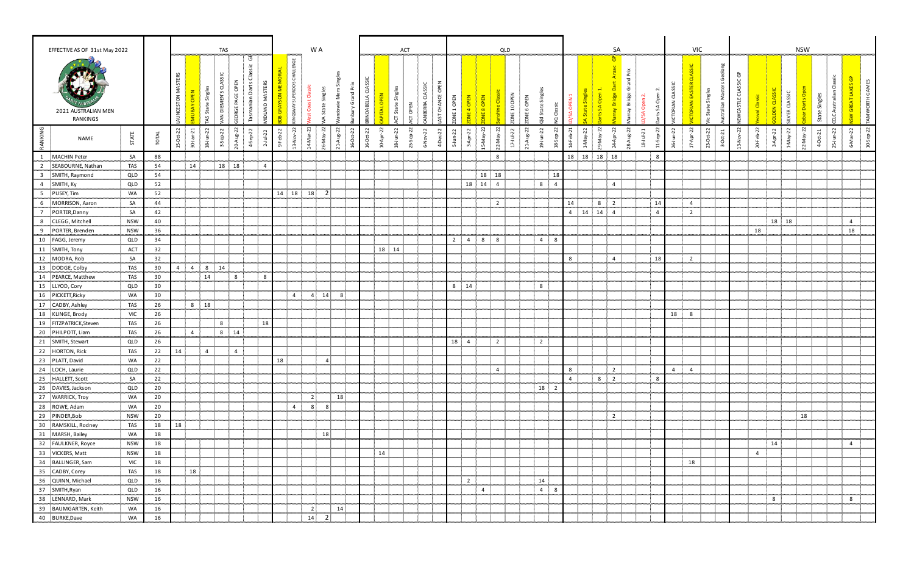|                | EFFECTIVE AS OF 31st May 2022   |            |                              |                   |                |                  | <b>TAS</b>                                |                          |                                                                                         |                    |                                          |                             | W A            |                                                     |                           |                     |          | <b>ACT</b>            |                                    |             |                      |                          |                                  | QLD              |                          |                 |                |                |                |                                               | SA                 |              |                                      |                                       |                | <b>VIC</b>     |                                          |                          |                |                    | <b>NSW</b>                          |                                |                                               |                          |                 |           |
|----------------|---------------------------------|------------|------------------------------|-------------------|----------------|------------------|-------------------------------------------|--------------------------|-----------------------------------------------------------------------------------------|--------------------|------------------------------------------|-----------------------------|----------------|-----------------------------------------------------|---------------------------|---------------------|----------|-----------------------|------------------------------------|-------------|----------------------|--------------------------|----------------------------------|------------------|--------------------------|-----------------|----------------|----------------|----------------|-----------------------------------------------|--------------------|--------------|--------------------------------------|---------------------------------------|----------------|----------------|------------------------------------------|--------------------------|----------------|--------------------|-------------------------------------|--------------------------------|-----------------------------------------------|--------------------------|-----------------|-----------|
|                | 2021 AUSTRALIAN MEN<br>RANKINGS |            |                              | AUNCESTON MASTERS | <b>B</b>       | AS State Singles | CLASSIC<br><b>DIEMEN'S</b><br>$\tilde{A}$ | PAGE OP<br><u>ყ</u><br>ö | $\mathbb{G}$<br>lassic<br>ပ<br>AND MASTERS<br>manian Darts<br>$\bar{\mathbf{r}}$<br>Sp. | E<br><b>M NOS.</b> | LENGE<br>SUPEROOS CHALI<br><b>IGSWAY</b> | ō<br>يب<br>$\mathsf{\circ}$ |                |                                                     | ರ<br>INDABELLA            |                     | PITAL    | Singl<br>State<br>ĄCT | CLASSIC<br><b>ERRA</b><br>ACT OPEN | ਠ<br>CHANCE | 1 OPEN<br><b>3NC</b> | $\Xi$ :<br>$\frac{0}{4}$ | $\overline{z}$<br><b>JE 8 OP</b> | <mark>c</mark> a | ONE 10 OPEN              | 6               | d State Sin    | ਨ              | <b>SA OPEN</b> | Sing<br><u>ဝ</u><br>State<br>$S_{\mathbf{A}}$ | ි<br>$\frac{1}{6}$ | urray Bridge | å<br>A Ope<br>$\mathsf{S}\mathsf{A}$ | <b>CLASSI</b><br>$\sim$<br>ORIAN<br>ť |                | 。<br>「<br>z    | তঁ<br>Singl<br>State:<br>ralia<br>ပ      | ලි<br>WCASTLE CLASS      | D le           | <b>OLDEN CLASS</b> | ILVER CLASS                         | Darts O                        | ී<br>singles<br><b>CLC Australia</b><br>State | ≤<br><b>ISW GREAT</b>    | TA MWORTH GAMES |           |
| RANKING        | NAME                            | STATE      | $\overline{A}$<br><u>tor</u> | $-22$<br>$15-0ct$ | -21<br>30-Jan  | $18 - J$ un-22   | $\tilde{\mathcal{L}}$<br>3-Sep-           | $u_{g-22}$<br>$20 - A$   | $-$ Sep $-22$<br>$2 - J$ ul-22<br>$\vec{a}$                                             | 9-Feb-22           | 22<br>13-Nov                             | 14-Mar-21                   | S<br>8         | $\overline{2}$<br>$\overline{a}$<br>$\overline{21}$ | $-0$ ct $-22$<br>22<br>ക് | $\overline{c}$<br>å | Āpr<br>S | 22                    | $\overline{c}$<br>22               |             | $J$ un-22<br>ம்      | -22<br>$-4p$<br>ന്       | $15-May-22$                      | Ŗ,<br>22-May-    | $\overline{5}$<br>$17 -$ | 22<br>$\vec{z}$ | 19-Jun-22      | $\overline{c}$ | 14-Feb-21      | g<br>$-May-22$                                | 22                 | $g-22$       | $ul-21$<br>11-Sep-<br>$\bar{z}$      | $\tilde{\mathcal{L}}$<br>26-Jun-22    |                | 17-Apr-22      | $23-Oct-22$<br>$\overline{5}$<br>ğ<br>ന് | $\overline{5}$<br>13-Nov | 20-Feb-22      | $3 - A pr - 22$    | $\overline{c}$<br>ye <sub>N-1</sub> | $22-Na\gamma-22$<br>$4-Oct-21$ | $2^{2}$<br>$25-$ Jun                          | $\overline{c}$<br>6-Mar- |                 | 10-Sep-22 |
|                | MACHIN Peter                    | SA         | 88                           |                   |                |                  |                                           |                          |                                                                                         |                    |                                          |                             |                |                                                     |                           |                     |          |                       |                                    |             |                      |                          |                                  | 8                |                          |                 |                |                | 18             | 18                                            | 18 18              |              |                                      | 8                                     |                |                |                                          |                          |                |                    |                                     |                                |                                               |                          |                 |           |
|                | SEABOURNE, Nathan               | <b>TAS</b> | 54                           |                   | 14             |                  | 18 18                                     |                          | $\overline{4}$                                                                          |                    |                                          |                             |                |                                                     |                           |                     |          |                       |                                    |             |                      |                          |                                  |                  |                          |                 |                |                |                |                                               |                    |              |                                      |                                       |                |                |                                          |                          |                |                    |                                     |                                |                                               |                          |                 |           |
|                | SMITH, Raymond                  | QLD        | 54                           |                   |                |                  |                                           |                          |                                                                                         |                    |                                          |                             |                |                                                     |                           |                     |          |                       |                                    |             |                      |                          |                                  | 18 18            |                          |                 |                | 18             |                |                                               |                    |              |                                      |                                       |                |                |                                          |                          |                |                    |                                     |                                |                                               |                          |                 |           |
| $\overline{4}$ | SMITH, Ky                       | QLD        | 52                           |                   |                |                  |                                           |                          |                                                                                         |                    |                                          |                             |                |                                                     |                           |                     |          |                       |                                    |             |                      |                          | 18  14  4                        |                  |                          |                 | 8              | $\overline{4}$ |                |                                               | $\overline{4}$     |              |                                      |                                       |                |                |                                          |                          |                |                    |                                     |                                |                                               |                          |                 |           |
|                | 5 PUSEY, Tim                    | <b>WA</b>  | 52                           |                   |                |                  |                                           |                          |                                                                                         |                    | 14 18                                    | 18                          | $\overline{2}$ |                                                     |                           |                     |          |                       |                                    |             |                      |                          |                                  |                  |                          |                 |                |                |                |                                               |                    |              |                                      |                                       |                |                |                                          |                          |                |                    |                                     |                                |                                               |                          |                 |           |
| 6              | MORRISON, Aaron                 | SA         | 44                           |                   |                |                  |                                           |                          |                                                                                         |                    |                                          |                             |                |                                                     |                           |                     |          |                       |                                    |             |                      |                          |                                  | $\overline{2}$   |                          |                 |                |                | 14             |                                               | 8 <sub>2</sub>     |              |                                      | 14                                    |                | $\overline{4}$ |                                          |                          |                |                    |                                     |                                |                                               |                          |                 |           |
| $\overline{7}$ | PORTER, Danny                   | SA         | 42                           |                   |                |                  |                                           |                          |                                                                                         |                    |                                          |                             |                |                                                     |                           |                     |          |                       |                                    |             |                      |                          |                                  |                  |                          |                 |                |                | $\overline{4}$ | 14                                            | $14 \quad 4$       |              | $\overline{4}$                       |                                       |                | $\overline{2}$ |                                          |                          |                |                    |                                     |                                |                                               |                          |                 |           |
| 8              | CLEGG, Mitchell                 | <b>NSW</b> | 40                           |                   |                |                  |                                           |                          |                                                                                         |                    |                                          |                             |                |                                                     |                           |                     |          |                       |                                    |             |                      |                          |                                  |                  |                          |                 |                |                |                |                                               |                    |              |                                      |                                       |                |                |                                          |                          |                | 18 18              |                                     |                                |                                               | $\overline{a}$           |                 |           |
| 9              | PORTER, Brenden                 | <b>NSW</b> | 36                           |                   |                |                  |                                           |                          |                                                                                         |                    |                                          |                             |                |                                                     |                           |                     |          |                       |                                    |             |                      |                          |                                  |                  |                          |                 |                |                |                |                                               |                    |              |                                      |                                       |                |                |                                          |                          | 18             |                    |                                     |                                |                                               | 18                       |                 |           |
|                | 10 FAGG, Jeremy                 | QLD        | 34                           |                   |                |                  |                                           |                          |                                                                                         |                    |                                          |                             |                |                                                     |                           |                     |          |                       |                                    |             | $\overline{2}$       |                          | $4\quad 8$                       | 8                |                          |                 | $\overline{4}$ | 8              |                |                                               |                    |              |                                      |                                       |                |                |                                          |                          |                |                    |                                     |                                |                                               |                          |                 |           |
|                | 11 SMITH, Tony                  | ACT        | 32                           |                   |                |                  |                                           |                          |                                                                                         |                    |                                          |                             |                |                                                     |                           |                     | 18 14    |                       |                                    |             |                      |                          |                                  |                  |                          |                 |                |                |                |                                               |                    |              |                                      |                                       |                |                |                                          |                          |                |                    |                                     |                                |                                               |                          |                 |           |
|                | 12 MODRA, Rob                   | SA         | 32                           |                   |                |                  |                                           |                          |                                                                                         |                    |                                          |                             |                |                                                     |                           |                     |          |                       |                                    |             |                      |                          |                                  |                  |                          |                 |                |                | 8              |                                               | $\overline{4}$     |              |                                      | 18                                    |                | $\overline{2}$ |                                          |                          |                |                    |                                     |                                |                                               |                          |                 |           |
|                | 13 DODGE, Colby                 | <b>TAS</b> | 30 <sub>o</sub>              | 4                 | $\overline{4}$ | 8 14             |                                           |                          |                                                                                         |                    |                                          |                             |                |                                                     |                           |                     |          |                       |                                    |             |                      |                          |                                  |                  |                          |                 |                |                |                |                                               |                    |              |                                      |                                       |                |                |                                          |                          |                |                    |                                     |                                |                                               |                          |                 |           |
|                | 14 PEARCE, Matthew              | <b>TAS</b> | 30 <sub>o</sub>              |                   |                | 14               |                                           | 8                        | 8                                                                                       |                    |                                          |                             |                |                                                     |                           |                     |          |                       |                                    |             |                      |                          |                                  |                  |                          |                 |                |                |                |                                               |                    |              |                                      |                                       |                |                |                                          |                          |                |                    |                                     |                                |                                               |                          |                 |           |
|                | 15 LLYOD, Cory                  | QLD        | 30 <sub>o</sub>              |                   |                |                  |                                           |                          |                                                                                         |                    |                                          |                             |                |                                                     |                           |                     |          |                       |                                    |             | 8 <sup>1</sup>       | 14                       |                                  |                  |                          |                 | 8              |                |                |                                               |                    |              |                                      |                                       |                |                |                                          |                          |                |                    |                                     |                                |                                               |                          |                 |           |
|                | 16 PICKETT, Ricky               | WA         | 30                           |                   |                |                  |                                           |                          |                                                                                         |                    | $\overline{4}$                           |                             | 14             | 8                                                   |                           |                     |          |                       |                                    |             |                      |                          |                                  |                  |                          |                 |                |                |                |                                               |                    |              |                                      |                                       |                |                |                                          |                          |                |                    |                                     |                                |                                               |                          |                 |           |
|                | 17 CADBY, Ashley                | <b>TAS</b> | 26                           |                   | 8 18           |                  |                                           |                          |                                                                                         |                    |                                          |                             |                |                                                     |                           |                     |          |                       |                                    |             |                      |                          |                                  |                  |                          |                 |                |                |                |                                               |                    |              |                                      |                                       |                |                |                                          |                          |                |                    |                                     |                                |                                               |                          |                 |           |
|                | 18 KLINGE, Brody                | <b>VIC</b> | 26                           |                   |                |                  |                                           |                          |                                                                                         |                    |                                          |                             |                |                                                     |                           |                     |          |                       |                                    |             |                      |                          |                                  |                  |                          |                 |                |                |                |                                               |                    |              |                                      |                                       | 18 8           |                |                                          |                          |                |                    |                                     |                                |                                               |                          |                 |           |
|                | 19 FITZPATRICK, Steven          | <b>TAS</b> | 26                           |                   |                |                  | 8                                         |                          |                                                                                         | 18                 |                                          |                             |                |                                                     |                           |                     |          |                       |                                    |             |                      |                          |                                  |                  |                          |                 |                |                |                |                                               |                    |              |                                      |                                       |                |                |                                          |                          |                |                    |                                     |                                |                                               |                          |                 |           |
|                | 20 PHILPOTT, Liam               | <b>TAS</b> | 26                           |                   | $\overline{4}$ |                  | $8 \qquad 14$                             |                          |                                                                                         |                    |                                          |                             |                |                                                     |                           |                     |          |                       |                                    |             |                      |                          |                                  |                  |                          |                 |                |                |                |                                               |                    |              |                                      |                                       |                |                |                                          |                          |                |                    |                                     |                                |                                               |                          |                 |           |
|                | 21 SMITH, Stewart               | QLD        | 26                           |                   |                |                  |                                           |                          |                                                                                         |                    |                                          |                             |                |                                                     |                           |                     |          |                       |                                    |             |                      | $18 \cdot 4$             |                                  | $\overline{2}$   |                          |                 | $\overline{2}$ |                |                |                                               |                    |              |                                      |                                       |                |                |                                          |                          |                |                    |                                     |                                |                                               |                          |                 |           |
|                | 22 HORTON, Rick                 | <b>TAS</b> | 22                           | 14                |                | $\overline{4}$   |                                           | $\overline{4}$           |                                                                                         |                    |                                          |                             |                |                                                     |                           |                     |          |                       |                                    |             |                      |                          |                                  |                  |                          |                 |                |                |                |                                               |                    |              |                                      |                                       |                |                |                                          |                          |                |                    |                                     |                                |                                               |                          |                 |           |
|                | 23 PLATT, David                 | <b>WA</b>  | 22                           |                   |                |                  |                                           |                          |                                                                                         | 18                 |                                          |                             | $\overline{4}$ |                                                     |                           |                     |          |                       |                                    |             |                      |                          |                                  |                  |                          |                 |                |                |                |                                               |                    |              |                                      |                                       |                |                |                                          |                          |                |                    |                                     |                                |                                               |                          |                 |           |
|                | 24 LOCH, Laurie                 | QLD        | 22                           |                   |                |                  |                                           |                          |                                                                                         |                    |                                          |                             |                |                                                     |                           |                     |          |                       |                                    |             |                      |                          |                                  | $\overline{4}$   |                          |                 |                |                | 8              |                                               | $\overline{2}$     |              |                                      |                                       | $\overline{4}$ | $\overline{4}$ |                                          |                          |                |                    |                                     |                                |                                               |                          |                 |           |
|                | 25 HALLETT, Scott               | SA         | 22                           |                   |                |                  |                                           |                          |                                                                                         |                    |                                          |                             |                |                                                     |                           |                     |          |                       |                                    |             |                      |                          |                                  |                  |                          |                 |                |                | $\overline{4}$ |                                               | 8 <sub>2</sub>     |              |                                      | 8                                     |                |                |                                          |                          |                |                    |                                     |                                |                                               |                          |                 |           |
|                | 26   DAVIES, Jackson            | QLD        | 20                           |                   |                |                  |                                           |                          |                                                                                         |                    |                                          |                             |                |                                                     |                           |                     |          |                       |                                    |             |                      |                          |                                  |                  |                          |                 | 18 2           |                |                |                                               |                    |              |                                      |                                       |                |                |                                          |                          |                |                    |                                     |                                |                                               |                          |                 |           |
|                | 27 WARRICK, Troy                | WA         | 20                           |                   |                |                  |                                           |                          |                                                                                         |                    |                                          | $\overline{2}$              |                | 18                                                  |                           |                     |          |                       |                                    |             |                      |                          |                                  |                  |                          |                 |                |                |                |                                               |                    |              |                                      |                                       |                |                |                                          |                          |                |                    |                                     |                                |                                               |                          |                 |           |
|                | 28 ROWE, Adam                   | WA         | 20                           |                   |                |                  |                                           |                          |                                                                                         |                    | $\overline{4}$                           | -8                          | 8 <sup>1</sup> |                                                     |                           |                     |          |                       |                                    |             |                      |                          |                                  |                  |                          |                 |                |                |                |                                               |                    |              |                                      |                                       |                |                |                                          |                          |                |                    |                                     |                                |                                               |                          |                 |           |
|                | 29 PINDER, Bob                  | <b>NSW</b> | 20                           |                   |                |                  |                                           |                          |                                                                                         |                    |                                          |                             |                |                                                     |                           |                     |          |                       |                                    |             |                      |                          |                                  |                  |                          |                 |                |                |                |                                               | $\overline{2}$     |              |                                      |                                       |                |                |                                          |                          |                |                    |                                     | 18                             |                                               |                          |                 |           |
|                | 30 RAMSKILL, Rodney             | <b>TAS</b> | 18                           | 18                |                |                  |                                           |                          |                                                                                         |                    |                                          |                             |                |                                                     |                           |                     |          |                       |                                    |             |                      |                          |                                  |                  |                          |                 |                |                |                |                                               |                    |              |                                      |                                       |                |                |                                          |                          |                |                    |                                     |                                |                                               |                          |                 |           |
|                | 31 MARSH, Bailey                | WA         | 18                           |                   |                |                  |                                           |                          |                                                                                         |                    |                                          |                             | 18             |                                                     |                           |                     |          |                       |                                    |             |                      |                          |                                  |                  |                          |                 |                |                |                |                                               |                    |              |                                      |                                       |                |                |                                          |                          |                |                    |                                     |                                |                                               |                          |                 |           |
|                | 32 FAULKNER, Royce              | <b>NSW</b> | 18                           |                   |                |                  |                                           |                          |                                                                                         |                    |                                          |                             |                |                                                     |                           |                     |          |                       |                                    |             |                      |                          |                                  |                  |                          |                 |                |                |                |                                               |                    |              |                                      |                                       |                |                |                                          |                          |                | 14                 |                                     |                                |                                               | $\overline{a}$           |                 |           |
|                | 33 VICKERS, Matt                | <b>NSW</b> | 18                           |                   |                |                  |                                           |                          |                                                                                         |                    |                                          |                             |                |                                                     |                           |                     | 14       |                       |                                    |             |                      |                          |                                  |                  |                          |                 |                |                |                |                                               |                    |              |                                      |                                       |                |                |                                          |                          | $\overline{4}$ |                    |                                     |                                |                                               |                          |                 |           |
|                | 34 BALLINGER, Sam               | <b>VIC</b> | 18                           |                   |                |                  |                                           |                          |                                                                                         |                    |                                          |                             |                |                                                     |                           |                     |          |                       |                                    |             |                      |                          |                                  |                  |                          |                 |                |                |                |                                               |                    |              |                                      |                                       |                | 18             |                                          |                          |                |                    |                                     |                                |                                               |                          |                 |           |
|                | 35 CADBY, Corey                 | <b>TAS</b> | 18                           |                   | 18             |                  |                                           |                          |                                                                                         |                    |                                          |                             |                |                                                     |                           |                     |          |                       |                                    |             |                      |                          |                                  |                  |                          |                 |                |                |                |                                               |                    |              |                                      |                                       |                |                |                                          |                          |                |                    |                                     |                                |                                               |                          |                 |           |
|                | 36 QUINN, Michael               | QLD        | 16                           |                   |                |                  |                                           |                          |                                                                                         |                    |                                          |                             |                |                                                     |                           |                     |          |                       |                                    |             |                      | $2 \quad$                |                                  |                  |                          |                 | 14             |                |                |                                               |                    |              |                                      |                                       |                |                |                                          |                          |                |                    |                                     |                                |                                               |                          |                 |           |
|                | 37 SMITH, Ryan                  | QLD        | 16                           |                   |                |                  |                                           |                          |                                                                                         |                    |                                          |                             |                |                                                     |                           |                     |          |                       |                                    |             |                      |                          | $\overline{4}$                   |                  |                          |                 | $4 \quad 8$    |                |                |                                               |                    |              |                                      |                                       |                |                |                                          |                          |                |                    |                                     |                                |                                               |                          |                 |           |
|                | 38 LENNARD, Mark                | <b>NSW</b> | 16                           |                   |                |                  |                                           |                          |                                                                                         |                    |                                          |                             |                |                                                     |                           |                     |          |                       |                                    |             |                      |                          |                                  |                  |                          |                 |                |                |                |                                               |                    |              |                                      |                                       |                |                |                                          |                          |                | 8                  |                                     |                                |                                               | 8                        |                 |           |
|                | 39 BAUMGARTEN, Keith            | WA         | 16                           |                   |                |                  |                                           |                          |                                                                                         |                    |                                          | $\overline{2}$              |                | 14                                                  |                           |                     |          |                       |                                    |             |                      |                          |                                  |                  |                          |                 |                |                |                |                                               |                    |              |                                      |                                       |                |                |                                          |                          |                |                    |                                     |                                |                                               |                          |                 |           |
|                | 40 BURKE,Dave                   | WA         | 16                           |                   |                |                  |                                           |                          |                                                                                         |                    |                                          | 14                          | $\overline{2}$ |                                                     |                           |                     |          |                       |                                    |             |                      |                          |                                  |                  |                          |                 |                |                |                |                                               |                    |              |                                      |                                       |                |                |                                          |                          |                |                    |                                     |                                |                                               |                          |                 |           |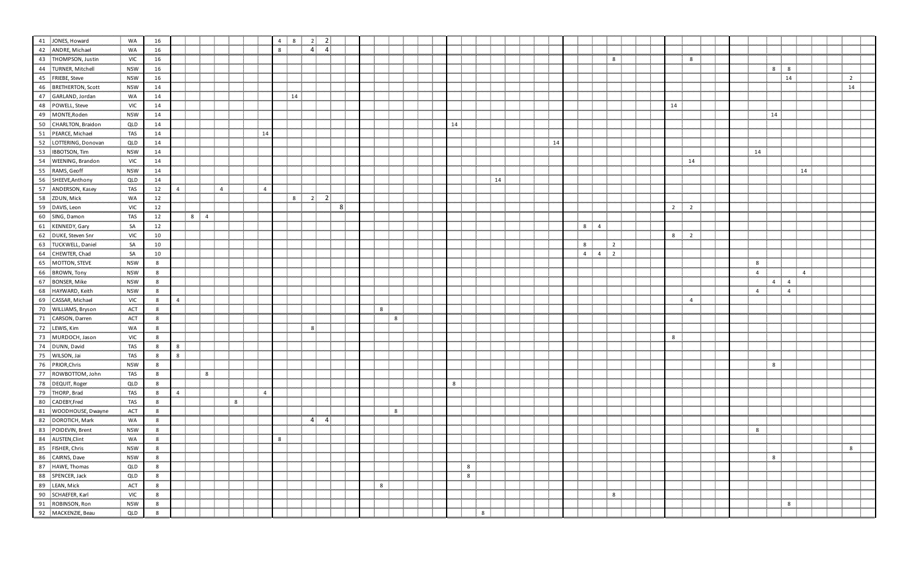| 41 JONES, Howard                       | WA         | 16 |   |          |   |                |   |                | $\overline{4}$ | 8  | $\overline{\mathbf{2}}$ | $\overline{2}$ |                |   |  |    |   |    |  |    |                |                     |                |                |                |  |                |             |                |                |                |  |
|----------------------------------------|------------|----|---|----------|---|----------------|---|----------------|----------------|----|-------------------------|----------------|----------------|---|--|----|---|----|--|----|----------------|---------------------|----------------|----------------|----------------|--|----------------|-------------|----------------|----------------|----------------|--|
| 42 ANDRE, Michael                      | WA         | 16 |   |          |   |                |   |                | 8              |    | $\mathbf{A}$            | $\overline{4}$ |                |   |  |    |   |    |  |    |                |                     |                |                |                |  |                |             |                |                |                |  |
|                                        |            |    |   |          |   |                |   |                |                |    |                         |                |                |   |  |    |   |    |  |    |                |                     |                |                |                |  |                |             |                |                |                |  |
| 43 THOMPSON, Justin                    | <b>VIC</b> | 16 |   |          |   |                |   |                |                |    |                         |                |                |   |  |    |   |    |  |    |                |                     | 8              |                | 8              |  |                |             |                |                |                |  |
| 44 TURNER, Mitchell                    | <b>NSW</b> | 16 |   |          |   |                |   |                |                |    |                         |                |                |   |  |    |   |    |  |    |                |                     |                |                |                |  |                | $8 -$       | 8 <sup>8</sup> |                |                |  |
| 45 FRIEBE, Steve                       | <b>NSW</b> | 16 |   |          |   |                |   |                |                |    |                         |                |                |   |  |    |   |    |  |    |                |                     |                |                |                |  |                |             | 14             |                | $\overline{2}$ |  |
| 46 BRETHERTON, Scott                   | <b>NSW</b> | 14 |   |          |   |                |   |                |                |    |                         |                |                |   |  |    |   |    |  |    |                |                     |                |                |                |  |                |             |                |                | 14             |  |
| 47 GARLAND, Jordan                     | WA         | 14 |   |          |   |                |   |                |                | 14 |                         |                |                |   |  |    |   |    |  |    |                |                     |                |                |                |  |                |             |                |                |                |  |
| 48 POWELL, Steve                       | <b>VIC</b> | 14 |   |          |   |                |   |                |                |    |                         |                |                |   |  |    |   |    |  |    |                |                     |                | 14             |                |  |                |             |                |                |                |  |
| 49 MONTE, Roden                        | <b>NSW</b> | 14 |   |          |   |                |   |                |                |    |                         |                |                |   |  |    |   |    |  |    |                |                     |                |                |                |  |                | 14          |                |                |                |  |
| 50 CHARLTON, Braidon                   | QLD        | 14 |   |          |   |                |   |                |                |    |                         |                |                |   |  | 14 |   |    |  |    |                |                     |                |                |                |  |                |             |                |                |                |  |
| 51 PEARCE, Michael                     | <b>TAS</b> | 14 |   |          |   |                |   | 14             |                |    |                         |                |                |   |  |    |   |    |  |    |                |                     |                |                |                |  |                |             |                |                |                |  |
| 52 LOTTERING, Donovan                  | QLD        | 14 |   |          |   |                |   |                |                |    |                         |                |                |   |  |    |   |    |  | 14 |                |                     |                |                |                |  |                |             |                |                |                |  |
| 53 IBBOTSON, Tim                       | <b>NSW</b> | 14 |   |          |   |                |   |                |                |    |                         |                |                |   |  |    |   |    |  |    |                |                     |                |                |                |  | 14             |             |                |                |                |  |
| 54 WEENING, Brandon                    | <b>VIC</b> | 14 |   |          |   |                |   |                |                |    |                         |                |                |   |  |    |   |    |  |    |                |                     |                |                | 14             |  |                |             |                |                |                |  |
| 55 RAMS, Geoff                         | <b>NSW</b> | 14 |   |          |   |                |   |                |                |    |                         |                |                |   |  |    |   |    |  |    |                |                     |                |                |                |  |                |             |                | 14             |                |  |
| 56 SHEEVE, Anthony                     | QLD        | 14 |   |          |   |                |   |                |                |    |                         |                |                |   |  |    |   | 14 |  |    |                |                     |                |                |                |  |                |             |                |                |                |  |
| 57 ANDERSON, Kasey                     | <b>TAS</b> | 12 | 4 |          |   | $\overline{4}$ |   | $\overline{4}$ |                |    |                         |                |                |   |  |    |   |    |  |    |                |                     |                |                |                |  |                |             |                |                |                |  |
| 58 ZDUN, Mick                          |            |    |   |          |   |                |   |                |                | 8: | $2^{\circ}$             | $\overline{2}$ |                |   |  |    |   |    |  |    |                |                     |                |                |                |  |                |             |                |                |                |  |
| 59 DAVIS, Leon                         | WA         | 12 |   |          |   |                |   |                |                |    |                         |                | 8 <sup>2</sup> |   |  |    |   |    |  |    |                |                     |                |                |                |  |                |             |                |                |                |  |
|                                        | <b>VIC</b> | 12 |   |          |   |                |   |                |                |    |                         |                |                |   |  |    |   |    |  |    |                |                     |                | $\overline{2}$ | $\overline{2}$ |  |                |             |                |                |                |  |
| 60 SING, Damon                         | <b>TAS</b> | 12 |   | $8 \t 4$ |   |                |   |                |                |    |                         |                |                |   |  |    |   |    |  |    |                |                     |                |                |                |  |                |             |                |                |                |  |
| 61 KENNEDY, Gary                       | SA         | 12 |   |          |   |                |   |                |                |    |                         |                |                |   |  |    |   |    |  |    |                | 8<br>$\overline{4}$ |                |                |                |  |                |             |                |                |                |  |
| 62 DUKE, Steven Snr                    | <b>VIC</b> | 10 |   |          |   |                |   |                |                |    |                         |                |                |   |  |    |   |    |  |    |                |                     |                | 8              | $\overline{2}$ |  |                |             |                |                |                |  |
| 63 TUCKWELL, Daniel                    | SA         | 10 |   |          |   |                |   |                |                |    |                         |                |                |   |  |    |   |    |  |    | 8              |                     | $\overline{2}$ |                |                |  |                |             |                |                |                |  |
| 64 CHEWTER, Chad                       | SA         | 10 |   |          |   |                |   |                |                |    |                         |                |                |   |  |    |   |    |  |    | $\overline{4}$ |                     | $4\quad 2$     |                |                |  |                |             |                |                |                |  |
| 65 MOTTON, STEVE                       | <b>NSW</b> | 8  |   |          |   |                |   |                |                |    |                         |                |                |   |  |    |   |    |  |    |                |                     |                |                |                |  | 8              |             |                |                |                |  |
| 66 BROWN, Tony                         | <b>NSW</b> | 8  |   |          |   |                |   |                |                |    |                         |                |                |   |  |    |   |    |  |    |                |                     |                |                |                |  | $\overline{4}$ |             |                | $\overline{4}$ |                |  |
| 67 BONSER, Mike                        | <b>NSW</b> | 8  |   |          |   |                |   |                |                |    |                         |                |                |   |  |    |   |    |  |    |                |                     |                |                |                |  |                | $4 \quad 4$ |                |                |                |  |
| 68 HAYWARD, Keith                      | <b>NSW</b> | 8  |   |          |   |                |   |                |                |    |                         |                |                |   |  |    |   |    |  |    |                |                     |                |                |                |  | $\overline{4}$ |             | $\overline{4}$ |                |                |  |
| 69 CASSAR, Michael                     | <b>VIC</b> | 8  | 4 |          |   |                |   |                |                |    |                         |                |                |   |  |    |   |    |  |    |                |                     |                |                | $\overline{4}$ |  |                |             |                |                |                |  |
| 70 WILLIAMS, Bryson                    | ACT        | 8  |   |          |   |                |   |                |                |    |                         |                |                | 8 |  |    |   |    |  |    |                |                     |                |                |                |  |                |             |                |                |                |  |
| 71 CARSON, Darren                      | ACT        | 8  |   |          |   |                |   |                |                |    |                         |                |                | 8 |  |    |   |    |  |    |                |                     |                |                |                |  |                |             |                |                |                |  |
| 72 LEWIS, Kim                          | WA         | 8  |   |          |   |                |   |                |                |    | 8                       |                |                |   |  |    |   |    |  |    |                |                     |                |                |                |  |                |             |                |                |                |  |
| 73 MURDOCH, Jason                      | <b>VIC</b> | 8  |   |          |   |                |   |                |                |    |                         |                |                |   |  |    |   |    |  |    |                |                     |                | 8              |                |  |                |             |                |                |                |  |
| 74 DUNN, David                         | <b>TAS</b> | 8  | 8 |          |   |                |   |                |                |    |                         |                |                |   |  |    |   |    |  |    |                |                     |                |                |                |  |                |             |                |                |                |  |
| 75 WILSON, Jai                         | <b>TAS</b> |    | 8 |          |   |                |   |                |                |    |                         |                |                |   |  |    |   |    |  |    |                |                     |                |                |                |  |                |             |                |                |                |  |
| 76 PRIOR, Chris                        |            | 8  |   |          |   |                |   |                |                |    |                         |                |                |   |  |    |   |    |  |    |                |                     |                |                |                |  |                |             |                |                |                |  |
| 77 ROWBOTTOM, John                     | <b>NSW</b> | 8  |   |          |   |                |   |                |                |    |                         |                |                |   |  |    |   |    |  |    |                |                     |                |                |                |  |                | 8           |                |                |                |  |
|                                        | <b>TAS</b> | 8  |   |          | 8 |                |   |                |                |    |                         |                |                |   |  |    |   |    |  |    |                |                     |                |                |                |  |                |             |                |                |                |  |
| 78 DEQUIT, Roger                       | QLD        | 8  |   |          |   |                |   |                |                |    |                         |                |                |   |  | 8  |   |    |  |    |                |                     |                |                |                |  |                |             |                |                |                |  |
| 79 THORP, Brad                         | <b>TAS</b> | 8  | 4 |          |   |                |   | $\overline{a}$ |                |    |                         |                |                |   |  |    |   |    |  |    |                |                     |                |                |                |  |                |             |                |                |                |  |
| 80 CADEBY,Fred                         | <b>TAS</b> | 8  |   |          |   |                | 8 |                |                |    |                         |                |                |   |  |    |   |    |  |    |                |                     |                |                |                |  |                |             |                |                |                |  |
| 81 WOODHOUSE, Dwayne                   | ACT        | 8  |   |          |   |                |   |                |                |    |                         |                |                | 8 |  |    |   |    |  |    |                |                     |                |                |                |  |                |             |                |                |                |  |
| 82 DOROTICH, Mark                      | WA         | 8  |   |          |   |                |   |                |                |    | $\overline{4}$          | $\overline{4}$ |                |   |  |    |   |    |  |    |                |                     |                |                |                |  |                |             |                |                |                |  |
| 83 POIDEVIN, Brent<br><b>Mana</b>      | <b>NSW</b> | 8  |   |          |   |                |   |                |                |    |                         |                |                |   |  |    |   |    |  |    |                |                     |                |                |                |  | 8              |             |                |                |                |  |
| 84 AUSTEN, Clint                       | WA         | 8  |   |          |   |                |   |                | $8\phantom{1}$ |    |                         |                |                |   |  |    |   |    |  |    |                |                     |                |                |                |  |                |             |                |                |                |  |
| <b>March</b><br>85 FISHER, Chris       | <b>NSW</b> | 8  |   |          |   |                |   |                |                |    |                         |                |                |   |  |    |   |    |  |    |                |                     |                |                |                |  |                |             |                |                | 8              |  |
| 86 CAIRNS, Dave                        | <b>NSW</b> | 8  |   |          |   |                |   |                |                |    |                         |                |                |   |  |    |   |    |  |    |                |                     |                |                |                |  |                | 8           |                |                |                |  |
| 87 HAWE, Thomas                        | QLD        | 8  |   |          |   |                |   |                |                |    |                         |                |                |   |  |    | 8 |    |  |    |                |                     |                |                |                |  |                |             |                |                |                |  |
| <b>March 200</b><br>88 SPENCER, Jack   | QLD        | 8  |   |          |   |                |   |                |                |    |                         |                |                |   |  |    | 8 |    |  |    |                |                     |                |                |                |  |                |             |                |                |                |  |
| 89 LEAN, Mick                          | ACT        | 8  |   |          |   |                |   |                |                |    |                         |                |                | 8 |  |    |   |    |  |    |                |                     |                |                |                |  |                |             |                |                |                |  |
| <b>Management</b><br>90 SCHAEFER, Karl | <b>VIC</b> | 8  |   |          |   |                |   |                |                |    |                         |                |                |   |  |    |   |    |  |    |                |                     | 8              |                |                |  |                |             |                |                |                |  |
| 91 ROBINSON, Ron                       |            |    |   |          |   |                |   |                |                |    |                         |                |                |   |  |    |   |    |  |    |                |                     |                |                |                |  |                |             |                |                |                |  |
| 92 MACKENZIE, Beau                     | <b>NSW</b> | 8  |   |          |   |                |   |                |                |    |                         |                |                |   |  |    |   |    |  |    |                |                     |                |                |                |  |                |             | 8              |                |                |  |
|                                        | QLD        | 8  |   |          |   |                |   |                |                |    |                         |                |                |   |  |    |   | 8  |  |    |                |                     |                |                |                |  |                |             |                |                |                |  |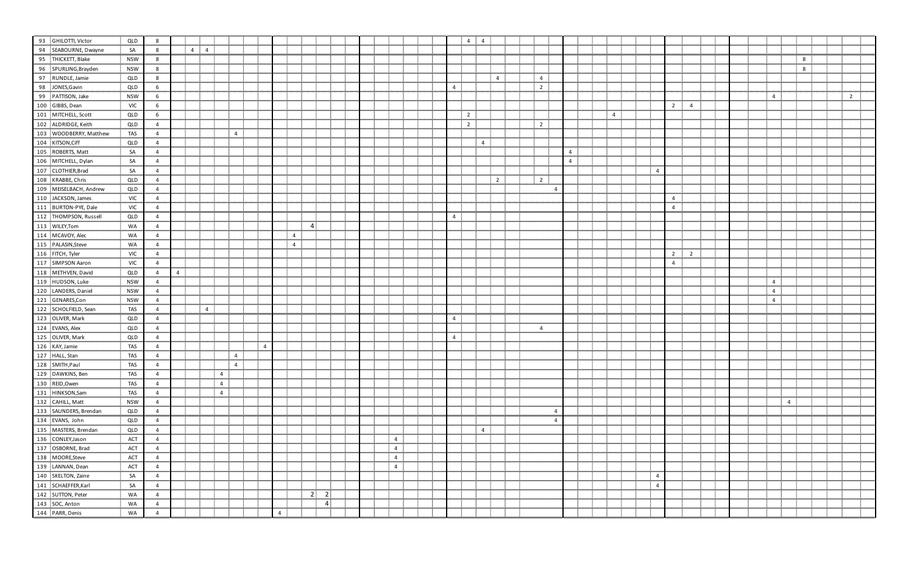| 93 GHILOTTI, Victor                                                                                                                                                                                                                                    | QLD        |                |   |                |                |                |  |                |                |                |  |                |  |                | $\overline{4}$<br>$\overline{4}$ |                |                |                |                |                |                |                |  |                                  |                |   |                |
|--------------------------------------------------------------------------------------------------------------------------------------------------------------------------------------------------------------------------------------------------------|------------|----------------|---|----------------|----------------|----------------|--|----------------|----------------|----------------|--|----------------|--|----------------|----------------------------------|----------------|----------------|----------------|----------------|----------------|----------------|----------------|--|----------------------------------|----------------|---|----------------|
| 94 SEABOURNE, Dwayne                                                                                                                                                                                                                                   | SA         | 8              |   | $\overline{4}$ | $\overline{4}$ |                |  |                |                |                |  |                |  |                |                                  |                |                |                |                |                |                |                |  |                                  |                |   |                |
| 95 THICKETT, Blake                                                                                                                                                                                                                                     | <b>NSW</b> | 8              |   |                |                |                |  |                |                |                |  |                |  |                |                                  |                |                |                |                |                |                |                |  |                                  |                | 8 |                |
| 96 SPURLING, Brayden                                                                                                                                                                                                                                   | <b>NSW</b> | 8              |   |                |                |                |  |                |                |                |  |                |  |                |                                  |                |                |                |                |                |                |                |  |                                  |                | 8 |                |
| 97 RUNDLE, Jamie                                                                                                                                                                                                                                       | QLD        | 8              |   |                |                |                |  |                |                |                |  |                |  |                |                                  | $\overline{4}$ | $\overline{4}$ |                |                |                |                |                |  |                                  |                |   |                |
| 98 JONES, Gavin                                                                                                                                                                                                                                        | QLD        | 6              |   |                |                |                |  |                |                |                |  |                |  | $\overline{4}$ |                                  |                | $\overline{2}$ |                |                |                |                |                |  |                                  |                |   |                |
| 99 PATTISON, Jake                                                                                                                                                                                                                                      | <b>NSW</b> | 6              |   |                |                |                |  |                |                |                |  |                |  |                |                                  |                |                |                |                |                |                |                |  | $\overline{4}$                   |                |   | $\overline{2}$ |
| 100 GIBBS, Dean                                                                                                                                                                                                                                        | <b>VIC</b> | 6              |   |                |                |                |  |                |                |                |  |                |  |                |                                  |                |                |                |                |                | $\overline{2}$ | $\overline{4}$ |  |                                  |                |   |                |
| 101 MITCHELL, Scott                                                                                                                                                                                                                                    | QLD        | 6              |   |                |                |                |  |                |                |                |  |                |  |                | $\overline{2}$                   |                |                |                | $\overline{4}$ |                |                |                |  |                                  |                |   |                |
| 102 ALDRIDGE, Keith                                                                                                                                                                                                                                    | QLD        |                |   |                |                |                |  |                |                |                |  |                |  |                | $\overline{2}$                   |                | $\overline{2}$ |                |                |                |                |                |  |                                  |                |   |                |
| 103 WOODBERRY, Matthew                                                                                                                                                                                                                                 | <b>TAS</b> | $\overline{4}$ |   |                |                | $\overline{4}$ |  |                |                |                |  |                |  |                |                                  |                |                |                |                |                |                |                |  |                                  |                |   |                |
| 104 KITSON, Ciff                                                                                                                                                                                                                                       | QLD        | 4              |   |                |                |                |  |                |                |                |  |                |  |                | $\overline{4}$                   |                |                |                |                |                |                |                |  |                                  |                |   |                |
| 105 ROBERTS, Matt                                                                                                                                                                                                                                      | SA         |                |   |                |                |                |  |                |                |                |  |                |  |                |                                  |                |                | $\overline{4}$ |                |                |                |                |  |                                  |                |   |                |
| 106 MITCHELL, Dylan                                                                                                                                                                                                                                    | SA         | 4              |   |                |                |                |  |                |                |                |  |                |  |                |                                  |                |                | $\overline{4}$ |                |                |                |                |  |                                  |                |   |                |
| 107 CLOTHIER, Brad                                                                                                                                                                                                                                     | SA         | 4              |   |                |                |                |  |                |                |                |  |                |  |                |                                  |                |                |                |                | $\overline{4}$ |                |                |  |                                  |                |   |                |
| 108 KRABBE, Chris                                                                                                                                                                                                                                      | QLD        |                |   |                |                |                |  |                |                |                |  |                |  |                |                                  | $\overline{2}$ | $\overline{2}$ |                |                |                |                |                |  |                                  |                |   |                |
| 109 MEISELBACH, Andrew                                                                                                                                                                                                                                 | QLD        |                |   |                |                |                |  |                |                |                |  |                |  |                |                                  |                |                |                |                |                |                |                |  |                                  |                |   |                |
| 110 JACKSON, James                                                                                                                                                                                                                                     | <b>VIC</b> | 4              |   |                |                |                |  |                |                |                |  |                |  |                |                                  |                |                |                |                |                | $\overline{4}$ |                |  |                                  |                |   |                |
| 111 BURTON-PYE, Dale                                                                                                                                                                                                                                   | <b>VIC</b> |                |   |                |                |                |  |                |                |                |  |                |  |                |                                  |                |                |                |                |                | $\overline{4}$ |                |  |                                  |                |   |                |
| 112 THOMPSON, Russell                                                                                                                                                                                                                                  | QLD        | 4              |   |                |                |                |  |                |                |                |  |                |  | $\overline{4}$ |                                  |                |                |                |                |                |                |                |  |                                  |                |   |                |
| 113 WILEY, Tom                                                                                                                                                                                                                                         | WA         | 4              |   |                |                |                |  |                | -4             |                |  |                |  |                |                                  |                |                |                |                |                |                |                |  |                                  |                |   |                |
| 114 MCAVOY, Alec                                                                                                                                                                                                                                       | WA         |                |   |                |                |                |  | $\overline{4}$ |                |                |  |                |  |                |                                  |                |                |                |                |                |                |                |  |                                  |                |   |                |
| 115 PALASIN, Steve                                                                                                                                                                                                                                     |            |                |   |                |                |                |  |                |                |                |  |                |  |                |                                  |                |                |                |                |                |                |                |  |                                  |                |   |                |
|                                                                                                                                                                                                                                                        | WA         | 4              |   |                |                |                |  | 4 <sup>1</sup> |                |                |  |                |  |                |                                  |                |                |                |                |                |                |                |  |                                  |                |   |                |
| 116 FITCH, Tyler<br>117 SIMPSON Aaron                                                                                                                                                                                                                  | <b>VIC</b> | 4              |   |                |                |                |  |                |                |                |  |                |  |                |                                  |                |                |                |                |                | $\overline{2}$ | $\overline{2}$ |  |                                  |                |   |                |
| 118 METHVEN, David                                                                                                                                                                                                                                     | <b>VIC</b> | 4              |   |                |                |                |  |                |                |                |  |                |  |                |                                  |                |                |                |                |                | $\overline{4}$ |                |  |                                  |                |   |                |
|                                                                                                                                                                                                                                                        | QLD        |                | 4 |                |                |                |  |                |                |                |  |                |  |                |                                  |                |                |                |                |                |                |                |  |                                  |                |   |                |
| 119 HUDSON, Luke<br>120 LANDERS, Daniel                                                                                                                                                                                                                | <b>NSW</b> | 4              |   |                |                |                |  |                |                |                |  |                |  |                |                                  |                |                |                |                |                |                |                |  | $\overline{4}$<br>$\overline{4}$ |                |   |                |
| 121 GENARES,Con                                                                                                                                                                                                                                        | <b>NSW</b> |                |   |                |                |                |  |                |                |                |  |                |  |                |                                  |                |                |                |                |                |                |                |  |                                  |                |   |                |
|                                                                                                                                                                                                                                                        | <b>NSW</b> | 4              |   |                |                |                |  |                |                |                |  |                |  |                |                                  |                |                |                |                |                |                |                |  | $\overline{4}$                   |                |   |                |
| 122 SCHOLFIELD, Sean<br>123 OLIVER, Mark                                                                                                                                                                                                               | TAS        | 4              |   |                | $\overline{4}$ |                |  |                |                |                |  |                |  |                |                                  |                |                |                |                |                |                |                |  |                                  |                |   |                |
| 124 EVANS, Alex                                                                                                                                                                                                                                        | QLD        |                |   |                |                |                |  |                |                |                |  |                |  | $\overline{4}$ |                                  |                |                |                |                |                |                |                |  |                                  |                |   |                |
|                                                                                                                                                                                                                                                        | QLD        | $\overline{a}$ |   |                |                |                |  |                |                |                |  |                |  |                |                                  |                | $\overline{4}$ |                |                |                |                |                |  |                                  |                |   |                |
|                                                                                                                                                                                                                                                        | QLD        | 4              |   |                |                |                |  |                |                |                |  |                |  | $\overline{4}$ |                                  |                |                |                |                |                |                |                |  |                                  |                |   |                |
|                                                                                                                                                                                                                                                        | <b>TAS</b> |                |   |                |                |                |  |                |                |                |  |                |  |                |                                  |                |                |                |                |                |                |                |  |                                  |                |   |                |
|                                                                                                                                                                                                                                                        | <b>TAS</b> | 4              |   |                |                | $\overline{4}$ |  |                |                |                |  |                |  |                |                                  |                |                |                |                |                |                |                |  |                                  |                |   |                |
|                                                                                                                                                                                                                                                        | <b>TAS</b> | 4              |   |                |                | $\overline{4}$ |  |                |                |                |  |                |  |                |                                  |                |                |                |                |                |                |                |  |                                  |                |   |                |
|                                                                                                                                                                                                                                                        | <b>TAS</b> |                |   |                | $\overline{4}$ |                |  |                |                |                |  |                |  |                |                                  |                |                |                |                |                |                |                |  |                                  |                |   |                |
|                                                                                                                                                                                                                                                        | <b>TAS</b> | 4              |   |                | $\overline{4}$ |                |  |                |                |                |  |                |  |                |                                  |                |                |                |                |                |                |                |  |                                  |                |   |                |
|                                                                                                                                                                                                                                                        | <b>TAS</b> | 4              |   |                | $\overline{4}$ |                |  |                |                |                |  |                |  |                |                                  |                |                |                |                |                |                |                |  |                                  |                |   |                |
|                                                                                                                                                                                                                                                        | <b>NSW</b> |                |   |                |                |                |  |                |                |                |  |                |  |                |                                  |                |                |                |                |                |                |                |  |                                  | $\overline{4}$ |   |                |
|                                                                                                                                                                                                                                                        | QLD        | 4              |   |                |                |                |  |                |                |                |  |                |  |                |                                  |                | 4              |                |                |                |                |                |  |                                  |                |   |                |
|                                                                                                                                                                                                                                                        | QLD        | 4              |   |                |                |                |  |                |                |                |  |                |  |                |                                  |                | 4              |                |                |                |                |                |  |                                  |                |   |                |
|                                                                                                                                                                                                                                                        | QLD        |                |   |                |                |                |  |                |                |                |  |                |  |                | $\overline{4}$                   |                |                |                |                |                |                |                |  |                                  |                |   |                |
|                                                                                                                                                                                                                                                        | ACT        | 4              |   |                |                |                |  |                |                |                |  | $\overline{4}$ |  |                |                                  |                |                |                |                |                |                |                |  |                                  |                |   |                |
|                                                                                                                                                                                                                                                        | ACT        | 4              |   |                |                |                |  |                |                |                |  | $\overline{4}$ |  |                |                                  |                |                |                |                |                |                |                |  |                                  |                |   |                |
|                                                                                                                                                                                                                                                        | ACT        |                |   |                |                |                |  |                |                |                |  | $\overline{4}$ |  |                |                                  |                |                |                |                |                |                |                |  |                                  |                |   |                |
|                                                                                                                                                                                                                                                        | ACT        | 4              |   |                |                |                |  |                |                |                |  | $\overline{4}$ |  |                |                                  |                |                |                |                |                |                |                |  |                                  |                |   |                |
|                                                                                                                                                                                                                                                        | SA         | 4              |   |                |                |                |  |                |                |                |  |                |  |                |                                  |                |                |                |                | 4              |                |                |  |                                  |                |   |                |
|                                                                                                                                                                                                                                                        | SA         |                |   |                |                |                |  |                |                |                |  |                |  |                |                                  |                |                |                |                | $\overline{4}$ |                |                |  |                                  |                |   |                |
|                                                                                                                                                                                                                                                        | WA         | 4              |   |                |                |                |  |                | $\overline{2}$ | $\overline{2}$ |  |                |  |                |                                  |                |                |                |                |                |                |                |  |                                  |                |   |                |
|                                                                                                                                                                                                                                                        | WA         | -4             |   |                |                |                |  |                |                | 4              |  |                |  |                |                                  |                |                |                |                |                |                |                |  |                                  |                |   |                |
| 124 EVANS, Alex<br>125 OLIVER, Mark<br>125 OLIVER, Mark<br>126 KAY, Jamie<br>127 HALL, Stan<br>128 SMITH, Paul<br>129 DAWKINS, Ben<br>130 REID, Owen<br>131 HINKSON, Sam<br>132 CAHILL, Matt<br>133 SAUNDERS, Brendan<br>134 EVANS, John<br>135 MASTER | WA         | -4             |   |                |                |                |  | $\overline{4}$ |                |                |  |                |  |                |                                  |                |                |                |                |                |                |                |  |                                  |                |   |                |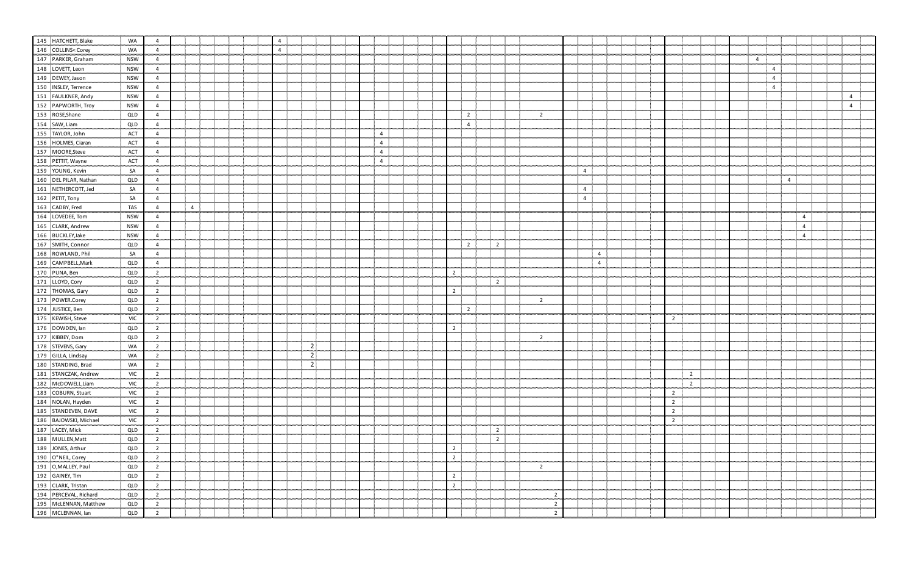| 145 HATCHETT, Blake                                                                                                                                                                                                                                                           | WA         |                |                |  | 4              |                |  |                |  |                |                |                |                |                |                |  |                |                |  |                |                |                |                |
|-------------------------------------------------------------------------------------------------------------------------------------------------------------------------------------------------------------------------------------------------------------------------------|------------|----------------|----------------|--|----------------|----------------|--|----------------|--|----------------|----------------|----------------|----------------|----------------|----------------|--|----------------|----------------|--|----------------|----------------|----------------|----------------|
| 146 COLLINS <corey< th=""><th>WA</th><th></th><th></th><th></th><th><math>\overline{4}</math></th><th></th><th></th><th></th><th></th><th></th><th></th><th></th><th></th><th></th><th></th><th></th><th></th><th></th><th></th><th></th><th></th><th></th><th></th></corey<> | WA         |                |                |  | $\overline{4}$ |                |  |                |  |                |                |                |                |                |                |  |                |                |  |                |                |                |                |
| 147 PARKER, Graham                                                                                                                                                                                                                                                            | <b>NSW</b> | $\overline{4}$ |                |  |                |                |  |                |  |                |                |                |                |                |                |  |                |                |  | $\overline{4}$ |                |                |                |
| 148 LOVETT, Leon                                                                                                                                                                                                                                                              | <b>NSW</b> | 4              |                |  |                |                |  |                |  |                |                |                |                |                |                |  |                |                |  |                | $\overline{4}$ |                |                |
| 149 DEWEY, Jason                                                                                                                                                                                                                                                              | <b>NSW</b> | 4              |                |  |                |                |  |                |  |                |                |                |                |                |                |  |                |                |  | $\overline{4}$ |                |                |                |
| 150 INSLEY, Terrence                                                                                                                                                                                                                                                          | <b>NSW</b> | $\overline{4}$ |                |  |                |                |  |                |  |                |                |                |                |                |                |  |                |                |  | $\overline{4}$ |                |                |                |
| 151 FAULKNER, Andy                                                                                                                                                                                                                                                            | <b>NSW</b> | $\overline{4}$ |                |  |                |                |  |                |  |                |                |                |                |                |                |  |                |                |  |                |                |                | $\overline{4}$ |
| 152 PAPWORTH, Troy                                                                                                                                                                                                                                                            | <b>NSW</b> | 4              |                |  |                |                |  |                |  |                |                |                |                |                |                |  |                |                |  |                |                |                | $\overline{4}$ |
| 153 ROSE, Shane                                                                                                                                                                                                                                                               | QLD        | 4              |                |  |                |                |  |                |  |                | $\overline{2}$ |                | $\overline{2}$ |                |                |  |                |                |  |                |                |                |                |
| 154 SAW, Liam                                                                                                                                                                                                                                                                 | QLD        | 4              |                |  |                |                |  |                |  |                | $\overline{4}$ |                |                |                |                |  |                |                |  |                |                |                |                |
| 155 TAYLOR, John                                                                                                                                                                                                                                                              | ACT        | 4              |                |  |                |                |  | $\overline{4}$ |  |                |                |                |                |                |                |  |                |                |  |                |                |                |                |
| 156 HOLMES, Ciaran                                                                                                                                                                                                                                                            | ACT        | 4              |                |  |                |                |  | $\overline{4}$ |  |                |                |                |                |                |                |  |                |                |  |                |                |                |                |
| 157 MOORE, Steve                                                                                                                                                                                                                                                              | <b>ACT</b> | 4              |                |  |                |                |  | $\overline{4}$ |  |                |                |                |                |                |                |  |                |                |  |                |                |                |                |
| 158 PETTIT, Wayne                                                                                                                                                                                                                                                             | ACT        | 4              |                |  |                |                |  | $\overline{4}$ |  |                |                |                |                |                |                |  |                |                |  |                |                |                |                |
| 159 YOUNG, Kevin                                                                                                                                                                                                                                                              | SA         | 4              |                |  |                |                |  |                |  |                |                |                |                | $\overline{4}$ |                |  |                |                |  |                |                |                |                |
| 160 DEL PILAR, Nathan                                                                                                                                                                                                                                                         | QLD        | $\overline{4}$ |                |  |                |                |  |                |  |                |                |                |                |                |                |  |                |                |  |                | $\overline{4}$ |                |                |
| 161 NETHERCOTT, Jed                                                                                                                                                                                                                                                           | SA         | 4              |                |  |                |                |  |                |  |                |                |                |                | $\overline{4}$ |                |  |                |                |  |                |                |                |                |
| 162 PETIT, Tony                                                                                                                                                                                                                                                               | SA         | $\overline{4}$ |                |  |                |                |  |                |  |                |                |                |                | $\overline{4}$ |                |  |                |                |  |                |                |                |                |
| 163 CADBY, Fred                                                                                                                                                                                                                                                               | <b>TAS</b> | $\overline{4}$ | $\overline{4}$ |  |                |                |  |                |  |                |                |                |                |                |                |  |                |                |  |                |                |                |                |
| 164 LOVEDEE, Tom                                                                                                                                                                                                                                                              | <b>NSW</b> | 4              |                |  |                |                |  |                |  |                |                |                |                |                |                |  |                |                |  |                |                | $\overline{4}$ |                |
| 165 CLARK, Andrew                                                                                                                                                                                                                                                             | <b>NSW</b> | 4              |                |  |                |                |  |                |  |                |                |                |                |                |                |  |                |                |  |                |                | $\overline{4}$ |                |
| 166 BUCKLEY, Jake                                                                                                                                                                                                                                                             | <b>NSW</b> | 4              |                |  |                |                |  |                |  |                |                |                |                |                |                |  |                |                |  |                |                | $\overline{4}$ |                |
| 167 SMITH, Connor                                                                                                                                                                                                                                                             | QLD        |                |                |  |                |                |  |                |  |                | $\overline{2}$ | $\overline{2}$ |                |                |                |  |                |                |  |                |                |                |                |
| 168 ROWLAND, Phil                                                                                                                                                                                                                                                             | SA         | $\overline{4}$ |                |  |                |                |  |                |  |                |                |                |                |                | $\overline{4}$ |  |                |                |  |                |                |                |                |
| 169 CAMPBELL, Mark                                                                                                                                                                                                                                                            | QLD        | $\overline{4}$ |                |  |                |                |  |                |  |                |                |                |                |                | $\overline{4}$ |  |                |                |  |                |                |                |                |
| 170 PUNA, Ben                                                                                                                                                                                                                                                                 | QLD        | $\overline{2}$ |                |  |                |                |  |                |  | 2              |                |                |                |                |                |  |                |                |  |                |                |                |                |
| 171 LLOYD, Cory                                                                                                                                                                                                                                                               | QLD        | $\overline{2}$ |                |  |                |                |  |                |  |                |                | $\overline{2}$ |                |                |                |  |                |                |  |                |                |                |                |
| 172 THOMAS, Gary                                                                                                                                                                                                                                                              | QLD        | $\overline{2}$ |                |  |                |                |  |                |  | $\overline{2}$ |                |                |                |                |                |  |                |                |  |                |                |                |                |
| 173 POWER.Corey                                                                                                                                                                                                                                                               | QLD        | $\overline{2}$ |                |  |                |                |  |                |  |                |                |                | $\overline{2}$ |                |                |  |                |                |  |                |                |                |                |
| 174 JUSTICE, Ben                                                                                                                                                                                                                                                              | QLD        | $\overline{2}$ |                |  |                |                |  |                |  |                | $\overline{2}$ |                |                |                |                |  |                |                |  |                |                |                |                |
| 175 KEWISH, Steve                                                                                                                                                                                                                                                             | <b>VIC</b> | 2              |                |  |                |                |  |                |  |                |                |                |                |                |                |  | $\overline{2}$ |                |  |                |                |                |                |
| 176 DOWDEN, lan                                                                                                                                                                                                                                                               | QLD        | 2              |                |  |                |                |  |                |  | 2              |                |                |                |                |                |  |                |                |  |                |                |                |                |
| 177 KIBBEY, Dom                                                                                                                                                                                                                                                               | QLD        | $\overline{2}$ |                |  |                |                |  |                |  |                |                |                | $\overline{2}$ |                |                |  |                |                |  |                |                |                |                |
| 178 STEVENS, Gary                                                                                                                                                                                                                                                             | WA         | 2              |                |  |                | 2 <sub>1</sub> |  |                |  |                |                |                |                |                |                |  |                |                |  |                |                |                |                |
| 179 GILLA, Lindsay                                                                                                                                                                                                                                                            | WA         | $\overline{2}$ |                |  |                | 2 <sup>1</sup> |  |                |  |                |                |                |                |                |                |  |                |                |  |                |                |                |                |
| 180 STANDING, Brad                                                                                                                                                                                                                                                            | WA         | $\overline{2}$ |                |  |                | 2              |  |                |  |                |                |                |                |                |                |  |                |                |  |                |                |                |                |
| 181 STANCZAK, Andrew                                                                                                                                                                                                                                                          | <b>VIC</b> | $\overline{2}$ |                |  |                |                |  |                |  |                |                |                |                |                |                |  |                | $\overline{2}$ |  |                |                |                |                |
| 182 McDOWELL, Liam                                                                                                                                                                                                                                                            | <b>VIC</b> | $\overline{2}$ |                |  |                |                |  |                |  |                |                |                |                |                |                |  |                | $\overline{2}$ |  |                |                |                |                |
| 183 COBURN, Stuart                                                                                                                                                                                                                                                            | <b>VIC</b> | $\overline{2}$ |                |  |                |                |  |                |  |                |                |                |                |                |                |  | $\overline{2}$ |                |  |                |                |                |                |
| 184 NOLAN, Hayden                                                                                                                                                                                                                                                             | <b>VIC</b> | $\overline{2}$ |                |  |                |                |  |                |  |                |                |                |                |                |                |  | $\overline{2}$ |                |  |                |                |                |                |
| 185 STANDEVEN, DAVE                                                                                                                                                                                                                                                           | <b>VIC</b> | $\overline{2}$ |                |  |                |                |  |                |  |                |                |                |                |                |                |  | $\overline{2}$ |                |  |                |                |                |                |
| 186 BAJOWSKI, Michael                                                                                                                                                                                                                                                         | <b>VIC</b> | $\overline{2}$ |                |  |                |                |  |                |  |                |                |                |                |                |                |  | $\overline{2}$ |                |  |                |                |                |                |
| 187 LACEY, Mick                                                                                                                                                                                                                                                               | QLD        | $\overline{2}$ |                |  |                |                |  |                |  |                |                | $\overline{2}$ |                |                |                |  |                |                |  |                |                |                |                |
| 188 MULLEN, Matt                                                                                                                                                                                                                                                              | QLD        | $\overline{2}$ |                |  |                |                |  |                |  |                |                | $\overline{2}$ |                |                |                |  |                |                |  |                |                |                |                |
| 189 JONES, Arthur                                                                                                                                                                                                                                                             | QLD        | $\overline{2}$ |                |  |                |                |  |                |  | $\overline{2}$ |                |                |                |                |                |  |                |                |  |                |                |                |                |
| 190 O"NEIL, Corey                                                                                                                                                                                                                                                             | QLD        | $\overline{2}$ |                |  |                |                |  |                |  | $\overline{2}$ |                |                |                |                |                |  |                |                |  |                |                |                |                |
| 191 O, MALLEY, Paul                                                                                                                                                                                                                                                           | QLD        | $\overline{2}$ |                |  |                |                |  |                |  |                |                |                | $\overline{2}$ |                |                |  |                |                |  |                |                |                |                |
| 192 GAINEY, Tim                                                                                                                                                                                                                                                               | QLD        | $\overline{2}$ |                |  |                |                |  |                |  | $\overline{2}$ |                |                |                |                |                |  |                |                |  |                |                |                |                |
| 193 CLARK, Tristan                                                                                                                                                                                                                                                            | QLD        | $\overline{2}$ |                |  |                |                |  |                |  | $\overline{2}$ |                |                |                |                |                |  |                |                |  |                |                |                |                |
| 194 PERCEVAL, Richard                                                                                                                                                                                                                                                         | QLD        | $\overline{2}$ |                |  |                |                |  |                |  |                |                |                | $\overline{2}$ |                |                |  |                |                |  |                |                |                |                |
| 195 McLENNAN, Matthew                                                                                                                                                                                                                                                         | QLD        | $\overline{2}$ |                |  |                |                |  |                |  |                |                |                | $\overline{2}$ |                |                |  |                |                |  |                |                |                |                |
| 196 MCLENNAN, lan                                                                                                                                                                                                                                                             | QLD        | $\overline{2}$ |                |  |                |                |  |                |  |                |                |                |                |                |                |  |                |                |  |                |                |                |                |
|                                                                                                                                                                                                                                                                               |            |                |                |  |                |                |  |                |  |                |                |                |                |                |                |  |                |                |  |                |                |                |                |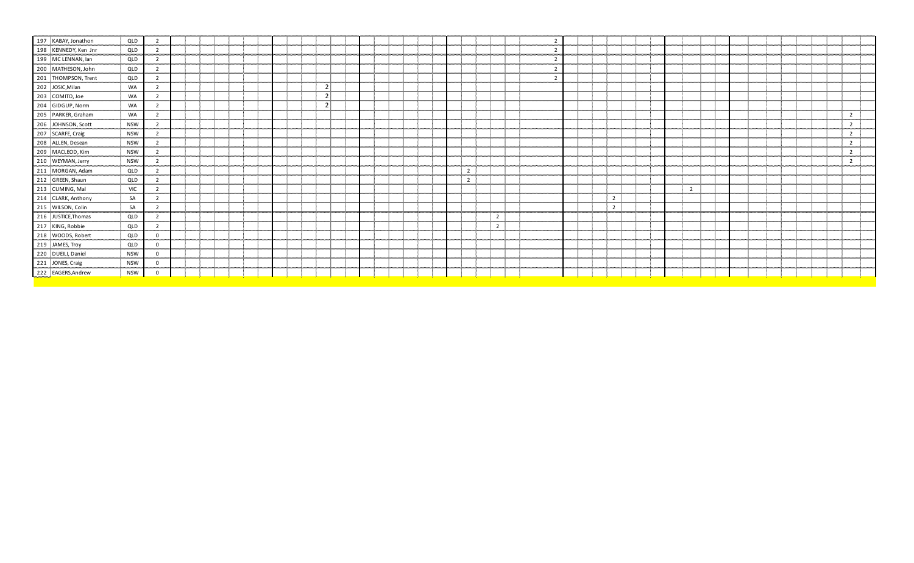| 197 KABAY, Jonathon  | QLD        |                |  |  |  |  |                |  |  |  |                |                |  |                |  |                |  |                |  |  |  |                |
|----------------------|------------|----------------|--|--|--|--|----------------|--|--|--|----------------|----------------|--|----------------|--|----------------|--|----------------|--|--|--|----------------|
| 198 KENNEDY, Ken Jnr | QLD        | -2             |  |  |  |  |                |  |  |  |                |                |  |                |  |                |  |                |  |  |  |                |
| 199 MC LENNAN, lan   | QLD        | $\overline{2}$ |  |  |  |  |                |  |  |  |                |                |  |                |  |                |  |                |  |  |  |                |
| 200 MATHESON, John   | QLD        | 2              |  |  |  |  |                |  |  |  |                |                |  | ຳ              |  |                |  |                |  |  |  |                |
| 201 THOMPSON, Trent  | QLD        | $\overline{2}$ |  |  |  |  |                |  |  |  |                |                |  | $\overline{2}$ |  |                |  |                |  |  |  |                |
| 202 JOSIC, Milan     | WA         |                |  |  |  |  | $\overline{2}$ |  |  |  |                |                |  |                |  |                |  |                |  |  |  |                |
| 203 COMITO, Joe      | WA         | $\overline{2}$ |  |  |  |  | $\overline{2}$ |  |  |  |                |                |  |                |  |                |  |                |  |  |  |                |
| 204 GIDGUP, Norm     | WA         | $\overline{2}$ |  |  |  |  | 2 <sub>1</sub> |  |  |  |                |                |  |                |  |                |  |                |  |  |  |                |
| 205 PARKER, Graham   | WA         | $\overline{2}$ |  |  |  |  |                |  |  |  |                |                |  |                |  |                |  |                |  |  |  | $\overline{2}$ |
| 206 JOHNSON, Scott   | <b>NSW</b> | $\overline{2}$ |  |  |  |  |                |  |  |  |                |                |  |                |  |                |  |                |  |  |  | $\overline{2}$ |
| 207 SCARFE, Craig    | <b>NSW</b> | $\overline{2}$ |  |  |  |  |                |  |  |  |                |                |  |                |  |                |  |                |  |  |  | $\overline{2}$ |
| 208 ALLEN, Desean    | <b>NSW</b> | $\overline{2}$ |  |  |  |  |                |  |  |  |                |                |  |                |  |                |  |                |  |  |  | $\overline{2}$ |
| 209 MACLEOD, Kim     | <b>NSW</b> | $\overline{2}$ |  |  |  |  |                |  |  |  |                |                |  |                |  |                |  |                |  |  |  | $\overline{2}$ |
| 210 WEYMAN, Jerry    | <b>NSW</b> | $\overline{2}$ |  |  |  |  |                |  |  |  |                |                |  |                |  |                |  |                |  |  |  | $\overline{2}$ |
| 211 MORGAN, Adam     | QLD        | $\mathcal{D}$  |  |  |  |  |                |  |  |  | $\overline{2}$ |                |  |                |  |                |  |                |  |  |  |                |
| 212 GREEN, Shaun     | QLD        | $\overline{2}$ |  |  |  |  |                |  |  |  | $\overline{2}$ |                |  |                |  |                |  |                |  |  |  |                |
| 213 CUMING, Mal      | <b>VIC</b> |                |  |  |  |  |                |  |  |  |                |                |  |                |  |                |  | $\overline{2}$ |  |  |  |                |
| 214 CLARK, Anthony   | SA         | $\overline{2}$ |  |  |  |  |                |  |  |  |                |                |  |                |  | $\overline{2}$ |  |                |  |  |  |                |
| 215 WILSON, Colin    | SA         | $\overline{2}$ |  |  |  |  |                |  |  |  |                |                |  |                |  | $\overline{2}$ |  |                |  |  |  |                |
| 216 JUSTICE, Thomas  | QLD        | $\overline{2}$ |  |  |  |  |                |  |  |  |                | $\overline{2}$ |  |                |  |                |  |                |  |  |  |                |
| 217 KING, Robbie     | QLD        | $\overline{2}$ |  |  |  |  |                |  |  |  |                | $\overline{2}$ |  |                |  |                |  |                |  |  |  |                |
| 218 WOODS, Robert    | QLD        | $\mathbf 0$    |  |  |  |  |                |  |  |  |                |                |  |                |  |                |  |                |  |  |  |                |
| 219 JAMES, Troy      | QLD        | $\Omega$       |  |  |  |  |                |  |  |  |                |                |  |                |  |                |  |                |  |  |  |                |
| 220 DUEILI, Daniel   | <b>NSW</b> | $\mathbf 0$    |  |  |  |  |                |  |  |  |                |                |  |                |  |                |  |                |  |  |  |                |
| 221 JONES, Craig     | <b>NSW</b> | $\Omega$       |  |  |  |  |                |  |  |  |                |                |  |                |  |                |  |                |  |  |  |                |
| 222 EAGERS, Andrew   | <b>NSW</b> | 0              |  |  |  |  |                |  |  |  |                |                |  |                |  |                |  |                |  |  |  |                |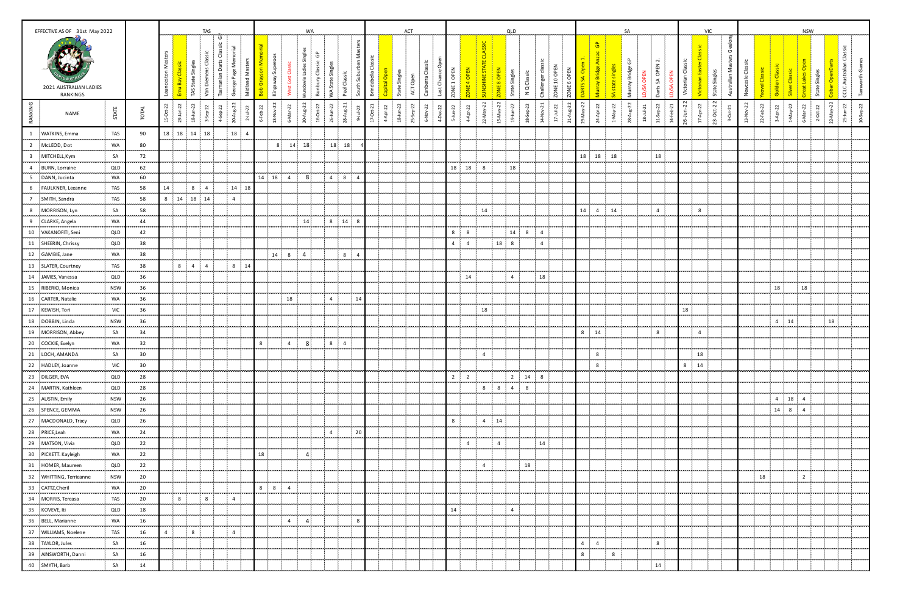|                | EFFECTIVE AS OF 31st May 2022             |             |              |                           |                |                   | TAS                 |                       |               |                |                                                                          |                           | WA                 |                          |                                  |                                        |                     |              | ACT            |                           |             |                |                          |                       |                | QLD                             |                        |                |             |                |                                | <b>SA</b>                      |                             |                            |               |                                | <b>VIC</b>                          |                          |                  |                 |              |                | <b>NSW</b>                                  |                        |                         |           |
|----------------|-------------------------------------------|-------------|--------------|---------------------------|----------------|-------------------|---------------------|-----------------------|---------------|----------------|--------------------------------------------------------------------------|---------------------------|--------------------|--------------------------|----------------------------------|----------------------------------------|---------------------|--------------|----------------|---------------------------|-------------|----------------|--------------------------|-----------------------|----------------|---------------------------------|------------------------|----------------|-------------|----------------|--------------------------------|--------------------------------|-----------------------------|----------------------------|---------------|--------------------------------|-------------------------------------|--------------------------|------------------|-----------------|--------------|----------------|---------------------------------------------|------------------------|-------------------------|-----------|
|                | 2021 AUSTRALIAN LADIES<br><b>RANKINGS</b> |             |              | Masters<br>unceston       |                | TAS State Singles | Van Diemens Classic | ပ                     |               | Midland Ma     | <mark>Bob Grayson Memor</mark><br>Kingsway Superoos<br>Kingsway Superoos | ੌ<br>Gst<br>$\sharp$<br>š | jibel<br>÷         | ලි<br>Bunbury Classic    | WA State Singles                 | South Suburban Masters<br>Peel Classic | Brindabella Classic | Capital Open | State Singles  | Canberra Cl<br>ACTOpen    | Last Chance | ZONE 1 OPEN    | 즶<br>ONE <sub>4</sub> OP | <b>JUNSHINE STATE</b> | ZONE 8 OPEN    | State Singles<br>N Q Classic    | -di<br>Challenger      | ZONE 10 OPEN   | ZONE 6 OPEN | $\sigma$       | $\theta$<br>Murray Bridge An   | Murray Bridge GP               | <b>/SA OPEN</b><br>$\Omega$ | Darts SA OPEN 2.           | ô<br>$\Omega$ | Victorian Classic              | Victorian Easter C<br>State Singles | - 19<br>Australian Maste | Newcasle Classic | aoval Classic   | Classi       | Silver Classic | $\sigma$<br>State Singles<br>හි<br>reat Lak |                        | CCLC Australian Classic | vorth Gan |
| RANKING        | NAME                                      | STATE       | <b>TOTAL</b> | $15-0d-22$<br>$29-1an-22$ |                | $18 - 10 - 22$    | 3-Sep-22            | 20-Aug-22<br>4-Sep-22 |               |                |                                                                          | 6-Mar-22                  | $20$ -Aug-22       | $16\text{-}t0\text{-}22$ | 26-Jun-22                        | $28-Aug-21$<br>$9 - 1$ ul-22           | $17-0ct-21$         | 4-Apr-22     | $18 - J$ un-22 | 25-Sep-22<br>22<br>6-Nov- | 4-Dec-22    | $5$ -Jun-22    | 4-Apr-22                 | 22-May-22             | 15-May-22      | $19 - 10 - 22$<br>$18 - 5ep-22$ | $14-Nov-21$            | $17 - 10 - 22$ | $21-Aug-22$ | 29-May-22      | $24-Apr-22$                    | $28-Aug-22$<br>$1-Ma\gamma-22$ | 18-Jul-21                   | 11-Sep-22                  | $14$ -Feb-21  | $26 - Jun - 22$<br>$17-Apr-22$ | 23-Oct-22                           | $3-0ct-21$               | 13-Nov-22        | $22 - Feb - 22$ | $3$ -Apr-22  | $1-May-22$     | 6-Mar-22                                    | $2-0t-22$<br>22-May-22 | $25 - J$ un-22          | 10-Sep-22 |
| $\mathbf{1}$   | WATKINS, Emma                             | TAS         | 90           | 18  18  14                |                |                   | 18                  | 18                    |               | $\overline{a}$ |                                                                          |                           |                    |                          |                                  |                                        |                     |              |                |                           |             |                |                          |                       |                |                                 |                        |                |             |                |                                |                                |                             |                            |               |                                |                                     |                          |                  |                 |              |                |                                             |                        |                         |           |
| $\overline{2}$ | McLEOD, Dot                               | WA          | 80           | ÷.                        |                |                   |                     |                       |               |                | 8 <sup>1</sup>                                                           | 14                        | 18                 |                          | 18 18                            |                                        |                     |              |                |                           |             |                |                          |                       |                |                                 |                        |                |             |                |                                |                                |                             |                            |               |                                | -11                                 |                          |                  |                 |              |                |                                             |                        |                         |           |
| $\overline{3}$ | MITCHELL, Kym                             | SA          | 72           |                           |                |                   |                     |                       |               |                |                                                                          |                           |                    |                          |                                  |                                        |                     |              |                |                           |             |                |                          |                       |                |                                 |                        |                |             | 18             | 18 18                          |                                |                             | 18                         |               |                                |                                     |                          |                  |                 |              |                |                                             |                        |                         |           |
| $\mathbf{A}$   | BURN, Lorraine                            | QLD         | 62           | ÷.                        |                |                   |                     |                       |               |                |                                                                          |                           |                    |                          |                                  |                                        |                     |              |                |                           |             | 18             | 18                       | 8                     |                | 18                              |                        |                |             |                |                                |                                |                             |                            |               |                                | ÷                                   |                          |                  |                 |              |                |                                             |                        |                         |           |
|                | DANN, Jucinta                             | WA          | 60           |                           |                |                   |                     |                       |               |                | 14 18 4                                                                  |                           | 8.                 |                          | $4 \quad 8$                      | $\overline{a}$                         |                     |              |                |                           |             |                |                          |                       |                |                                 |                        |                |             |                |                                |                                |                             |                            |               |                                |                                     |                          |                  |                 |              |                |                                             |                        |                         |           |
| 6              | FAULKNER, Leeanne                         | TAS         | 58           | 14                        |                | 8                 | $\overline{4}$      |                       | $14 \quad 18$ |                |                                                                          |                           |                    |                          |                                  |                                        |                     |              |                |                           |             |                |                          |                       |                |                                 |                        |                |             |                |                                |                                |                             |                            |               |                                | ÷                                   |                          |                  |                 |              |                |                                             |                        |                         |           |
| $7^{\circ}$    | SMITH, Sandra                             | TAS         | 58           |                           |                | 8 14 18 14        |                     | $\cdot$ 4             |               |                |                                                                          |                           |                    |                          |                                  |                                        |                     |              |                |                           |             |                |                          |                       |                |                                 |                        |                |             |                |                                |                                |                             |                            |               |                                |                                     |                          |                  |                 |              |                |                                             |                        |                         |           |
| 8<br>.         | MORRISON, Lyn                             | SA<br>1.111 | 58<br>.      |                           |                |                   |                     |                       |               |                |                                                                          |                           |                    |                          |                                  |                                        |                     |              |                |                           |             |                |                          | 14                    |                |                                 |                        |                |             | 14             | 4 14                           |                                |                             | $\overline{4}$             |               | 8                              | - 1                                 |                          |                  |                 |              |                |                                             |                        |                         |           |
| 9<br>          | CLARKE, Angela                            | WA<br>.     | 44<br>.      |                           |                |                   |                     |                       |               |                |                                                                          |                           | 14 <sup>5</sup>    |                          | 8 14                             | 8                                      |                     |              |                |                           |             |                |                          |                       |                |                                 |                        |                |             |                |                                |                                |                             |                            |               |                                |                                     |                          |                  |                 |              |                |                                             |                        |                         |           |
| 10             | VAKANOFITI, Seni                          | QLD         | 42           |                           |                |                   |                     |                       |               |                |                                                                          |                           |                    |                          |                                  |                                        |                     |              |                |                           |             | 8              | 8                        |                       |                | 14 8                            | 4                      |                |             |                |                                |                                |                             |                            |               |                                |                                     |                          |                  |                 |              |                |                                             |                        |                         |           |
| 11             | SHEERIN, Chrissy                          | QLD         | 38           |                           |                |                   |                     |                       |               |                |                                                                          |                           |                    |                          |                                  |                                        |                     |              |                |                           |             | $\overline{4}$ | $\overline{4}$           |                       | 18             | 8                               | $\overline{4}$         |                |             |                |                                |                                |                             |                            |               |                                |                                     |                          |                  |                 |              |                |                                             |                        |                         |           |
| 12             | GAMBIE, Jane                              | WA          | 38           |                           |                |                   |                     |                       |               |                | 14                                                                       | 8                         | $\overline{4}$     |                          | 8 <sup>2</sup>                   | $\Delta$                               |                     |              |                |                           |             |                |                          |                       |                |                                 |                        |                |             |                |                                |                                |                             |                            |               |                                |                                     |                          |                  |                 |              |                |                                             |                        |                         |           |
| 13             | SLATER, Courtney                          | TAS         | <br>38       |                           | $8 \t 4$       |                   | $\overline{4}$      | 8                     |               | 14             |                                                                          |                           |                    |                          |                                  |                                        |                     |              |                |                           |             |                |                          |                       |                |                                 |                        |                |             |                |                                |                                |                             |                            |               |                                |                                     |                          |                  |                 |              |                |                                             |                        |                         |           |
| 14             | JAMES, Vanessa                            | QLD         | 36           |                           |                |                   |                     |                       |               |                |                                                                          |                           |                    |                          |                                  |                                        |                     |              |                |                           |             |                | 14                       |                       |                | 4                               | 18                     |                |             |                |                                |                                |                             |                            |               |                                |                                     |                          |                  |                 |              |                |                                             |                        |                         |           |
|                | 15 RIBERIO, Monica                        | <b>NSW</b>  | 36           |                           |                |                   |                     |                       |               |                |                                                                          |                           |                    |                          |                                  |                                        |                     |              |                |                           |             |                |                          |                       |                |                                 |                        |                |             |                |                                |                                |                             |                            |               |                                |                                     |                          |                  |                 | 18           |                | 18                                          |                        |                         |           |
| 16             | CARTER, Natalie                           | WA          | 36           | ÷.                        |                |                   |                     |                       |               |                |                                                                          | 18                        |                    |                          | 4                                | 14                                     |                     |              |                |                           |             |                |                          |                       |                |                                 |                        |                |             |                |                                |                                |                             |                            |               |                                | ÷                                   |                          |                  |                 |              |                |                                             |                        |                         |           |
|                | 17 KEWISH, Tori                           | VIC         | 36           |                           |                |                   |                     |                       |               |                |                                                                          |                           |                    |                          |                                  |                                        |                     |              |                |                           |             |                |                          | 18                    |                |                                 |                        |                |             |                |                                |                                |                             |                            |               | 18                             |                                     |                          |                  |                 |              |                |                                             |                        |                         |           |
|                | 18 DOBBIN, Linda                          | <b>NSW</b>  | 36           |                           |                |                   |                     | -9                    |               |                |                                                                          |                           |                    |                          |                                  |                                        |                     |              |                |                           |             |                |                          |                       |                |                                 |                        |                |             |                |                                |                                |                             |                            |               |                                |                                     |                          |                  |                 | $4 \quad 14$ |                |                                             | 18                     |                         |           |
|                | 19 MORRISON, Abbey                        | SA          | 34           |                           |                |                   |                     |                       |               |                |                                                                          |                           |                    |                          |                                  |                                        |                     |              |                |                           |             |                |                          |                       |                |                                 |                        |                |             | 8              | 14                             |                                |                             | $\cdot$ 8                  |               | $\overline{4}$                 |                                     |                          |                  |                 |              |                |                                             |                        |                         |           |
|                | 20 COCKIE, Evelyn                         | WA          | 32           |                           |                |                   |                     |                       |               |                | 8                                                                        | $\overline{4}$            | 8                  |                          | 8 <sub>1</sub><br>$\overline{4}$ |                                        |                     |              |                |                           |             |                |                          |                       |                |                                 |                        |                |             |                |                                |                                |                             |                            |               |                                |                                     |                          |                  |                 |              |                |                                             |                        |                         |           |
|                | 21 LOCH, AMANDA                           | SA          | 30           |                           |                |                   |                     |                       |               |                |                                                                          |                           |                    |                          |                                  |                                        |                     |              |                |                           |             |                |                          | $\overline{4}$        |                |                                 |                        |                |             |                | 8                              |                                |                             |                            |               | 18                             |                                     |                          |                  |                 |              |                |                                             |                        |                         |           |
|                | 22 HADLEY, Joanne                         | VIC         | 30           |                           |                |                   |                     |                       |               |                |                                                                          |                           |                    |                          |                                  |                                        |                     |              |                |                           |             |                |                          |                       |                |                                 |                        |                |             |                | 8                              |                                |                             |                            |               | 8 <sup>1</sup><br>14           |                                     |                          |                  |                 |              |                |                                             |                        |                         |           |
|                | 23 DILGER, EVA                            | QLD         | 28           |                           |                |                   |                     |                       |               |                |                                                                          |                           |                    |                          |                                  |                                        |                     |              |                |                           |             | $2^{\circ}$    | $\overline{2}$           |                       |                |                                 | $2 \qquad 14 \qquad 8$ |                |             |                |                                |                                |                             |                            |               |                                |                                     |                          |                  |                 |              |                |                                             |                        |                         |           |
| 24             | MARTIN, Kathleen                          | QLD         | 28           |                           |                |                   |                     |                       |               |                |                                                                          |                           |                    |                          |                                  |                                        |                     |              |                |                           |             |                |                          |                       | $8 \t3 \t8$    | $4 \quad 8$                     |                        |                |             |                |                                |                                |                             |                            |               |                                |                                     |                          |                  |                 |              |                |                                             |                        |                         |           |
|                | 25 AUSTIN, Emily                          | <b>NSW</b>  | 26           |                           |                |                   |                     |                       |               |                |                                                                          |                           |                    |                          |                                  |                                        |                     |              |                |                           |             |                |                          |                       |                |                                 |                        |                |             |                |                                |                                |                             |                            |               |                                |                                     |                          |                  |                 | $4 \quad 18$ |                | $\overline{4}$                              |                        |                         |           |
|                | 26 SPENCE, GEMMA                          | <b>NSW</b>  | 26           |                           |                |                   |                     |                       |               |                |                                                                          |                           |                    |                          |                                  |                                        |                     |              |                |                           |             |                |                          |                       |                |                                 |                        |                |             |                |                                |                                |                             |                            |               |                                |                                     |                          |                  |                 | 14 8         |                | $\overline{4}$                              |                        |                         |           |
|                | 27 MACDONALD, Tracy                       | QLD         | 26           |                           |                |                   |                     |                       |               |                |                                                                          |                           |                    |                          |                                  |                                        |                     |              |                |                           |             | 8              |                          | $4 \t14$              |                |                                 |                        |                |             |                |                                |                                |                             |                            |               |                                |                                     |                          |                  |                 |              |                |                                             |                        |                         |           |
|                | 28 PRICE, Leah                            | WA          | 24           |                           |                |                   |                     |                       |               |                |                                                                          |                           |                    |                          | $\overline{4}$                   | 20                                     |                     |              |                |                           |             |                |                          |                       |                |                                 |                        |                |             |                |                                |                                |                             |                            |               |                                |                                     |                          |                  |                 |              |                |                                             |                        |                         |           |
|                | }<br>29 MATSON, Vivia                     | <br>QLD     | <br>22       |                           |                |                   |                     |                       |               |                |                                                                          |                           |                    |                          |                                  |                                        |                     |              |                |                           |             |                | $\overline{4}$           |                       | $\overline{4}$ | ÷.                              | 14                     |                |             |                |                                |                                |                             |                            |               |                                |                                     |                          |                  |                 |              |                |                                             |                        |                         |           |
|                | 30 PICKETT. Kayleigh                      | WA          | 22           |                           |                |                   |                     |                       |               |                | 18                                                                       |                           | 4                  |                          |                                  |                                        |                     |              |                |                           |             |                |                          |                       |                |                                 |                        |                |             |                |                                |                                |                             |                            |               |                                |                                     |                          |                  |                 |              |                |                                             |                        |                         |           |
| hannoon a      | -------------------<br>31 HOMER, Maureen  | QLD         | 22           | ÷.                        |                |                   |                     |                       |               |                | -----<br>- 11                                                            |                           |                    |                          |                                  |                                        |                     |              |                |                           | -9          |                |                          | $\overline{4}$        |                | 18                              |                        |                |             |                |                                |                                |                             |                            |               |                                | - 11                                |                          |                  |                 |              |                |                                             |                        |                         |           |
|                | 32 WHITTING, Terrieanne                   | <b>NSW</b>  | 20           | п.                        |                |                   |                     |                       |               |                | - 11                                                                     |                           |                    |                          |                                  |                                        |                     |              |                |                           |             |                |                          |                       |                | ÷                               |                        |                |             |                |                                |                                |                             |                            |               |                                |                                     |                          |                  | 18              |              |                | $\overline{2}$                              |                        |                         |           |
|                | 33 CATTZ, Cheril                          | WA          | <br>20       | п.                        |                |                   |                     |                       |               |                | $8 \t 8$                                                                 | $\overline{4}$            |                    |                          |                                  |                                        |                     |              |                |                           |             |                |                          |                       |                | ,,,,,,,,,,                      |                        |                |             |                |                                |                                |                             |                            |               |                                |                                     |                          |                  |                 |              |                |                                             | an an                  |                         |           |
|                | 34 MORRIS, Tereasa                        | TAS         | 20           |                           | 8 <sup>1</sup> |                   | 8                   | $\overline{4}$        |               |                |                                                                          |                           |                    |                          |                                  |                                        |                     |              |                |                           |             |                |                          |                       |                | ÷                               |                        |                |             |                |                                |                                |                             |                            |               |                                |                                     |                          |                  |                 |              |                |                                             |                        |                         |           |
|                | 35 KOVEVE, Iti                            | QLD         | 18           | <b>F</b>                  |                |                   |                     |                       |               |                |                                                                          |                           |                    |                          |                                  |                                        |                     |              |                |                           |             | 14             |                          |                       |                | 4                               |                        |                |             |                |                                |                                |                             |                            |               |                                |                                     |                          |                  |                 |              |                |                                             |                        |                         |           |
|                | 36 BELL, Marianne                         | WA          | <br>16       |                           | .              |                   |                     |                       |               |                | .                                                                        | $\overline{4}$            | <br>$\overline{4}$ |                          | .                                | <br>8                                  |                     |              |                | .                         |             | .              |                          |                       |                |                                 |                        |                |             |                |                                |                                |                             |                            |               | .                              | .                                   |                          |                  |                 |              |                |                                             |                        |                         |           |
| -----          | 37 WILLIAMS, Noelene                      | TAS         | 16           | matina.                   | $4 \quad 8$    |                   |                     | $\frac{1}{2}$ 4       |               |                |                                                                          |                           |                    |                          |                                  |                                        |                     |              |                |                           | <b>A</b>    |                |                          |                       |                |                                 |                        |                |             |                |                                |                                |                             | - 10                       |               |                                | - 31                                |                          |                  |                 |              |                |                                             |                        |                         |           |
|                | 38 TAYLOR, Jules                          | SA          | 16           |                           |                |                   |                     |                       |               |                |                                                                          |                           |                    |                          |                                  |                                        |                     |              |                |                           |             |                |                          |                       |                |                                 |                        |                |             | $\overline{4}$ | 4                              |                                |                             | $\overline{\phantom{0}}$ 8 |               |                                |                                     |                          |                  |                 |              |                |                                             |                        |                         |           |
|                | 39 AINSWORTH, Danni                       | .<br>SA     | <br>16       | ÷                         |                |                   |                     |                       |               |                | .                                                                        |                           |                    | .                        |                                  |                                        |                     |              |                |                           | <br>-9      |                |                          |                       |                | ,,,,,,,,,,,,                    |                        |                |             | 8              | <br>$\overline{\phantom{0}}$ 8 |                                |                             | -11                        |               |                                | <br>- 51                            |                          |                  |                 |              |                |                                             | .                      |                         |           |
|                | 40 SMYTH, Barb                            | .<br>SA     | <br>14       | ÷                         | . <b>.</b>     |                   |                     |                       |               |                |                                                                          |                           |                    |                          |                                  |                                        |                     |              |                |                           |             |                |                          |                       |                | minister<br>1                   |                        |                |             |                |                                |                                | .                           | 14                         |               |                                | --- -----                           |                          |                  |                 |              |                |                                             |                        |                         |           |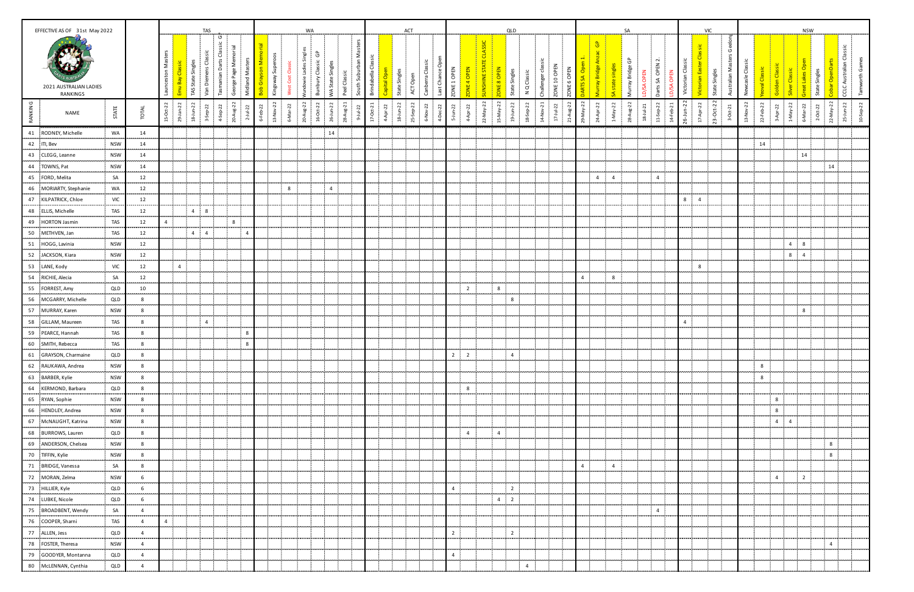| EFFECTIVE AS OF 31st May 2022                                  |                 |                                                   |                      |                |                   | TAS                     |                                                        |                                       |   |                                      |                 |               | WA                    |                                   |               |                                                    |         |                               | ACT                 |                                     |                   |                  |                  |                                    |                | QLD                |                                  |                |                        |                  |                                  | SA.                  |                              |                                  |                        |                |                                   |                       |                  |                 |                           |                | <b>NSW</b>    |                                          |                            |            |
|----------------------------------------------------------------|-----------------|---------------------------------------------------|----------------------|----------------|-------------------|-------------------------|--------------------------------------------------------|---------------------------------------|---|--------------------------------------|-----------------|---------------|-----------------------|-----------------------------------|---------------|----------------------------------------------------|---------|-------------------------------|---------------------|-------------------------------------|-------------------|------------------|------------------|------------------------------------|----------------|--------------------|----------------------------------|----------------|------------------------|------------------|----------------------------------|----------------------|------------------------------|----------------------------------|------------------------|----------------|-----------------------------------|-----------------------|------------------|-----------------|---------------------------|----------------|---------------|------------------------------------------|----------------------------|------------|
| 2021 AUSTRALIAN LADIES<br><b>RANKINGS</b>                      |                 |                                                   | Nas<br>inceston<br>Ξ |                | TAS State Singles | ens Classic<br>Van Dien | ပ<br>assic<br>$\overline{\circ}$<br>Darts<br>Tasmanian | 콩<br>George Page Me<br>Midland Master | Σ | Super<br>son<br>Kingsway<br>Bob Gray | පී<br>West Cost | jã<br>undowie | ලි<br>Bunbury Classic | VA State Singles                  | Peel Classic  | Masters<br>÷<br>South Suburban<br>Brindabella Clas | ital Op | State Singles                 | 5<br>င်္<br>ACT     | Canberra Clas                       | ceo<br>Last Chand | ZONE 1 OPEN      | <b>DNE4 OPEN</b> | <b>ASSIC</b><br><b>UNSHINE STA</b> | ONE 8 OPEN     |                    | das<br>N Q Classic<br>Challenger | ZONE 10 OPEN   | ONE <sub>6</sub> OPEN  |                  | $rac{a}{a}$                      | ී<br>Murray Bridge ( | OPEN<br>5A<br>$\overline{a}$ | $\sim$<br>OPEN.<br>Darts SA<br>ᄒ | Classic<br>torian<br>š |                | Victorian Easter<br>State Singles | Σ<br>등<br><b>Aust</b> | Newcasle Classic | ral Classi      | ᅙ                         | Classic        | State Singles |                                          | Classic<br>CCLC Australian | ಅ<br>worth |
| RANKING<br>NAME                                                | STATE           | TOTAL                                             | $15-0t-22$           | 29.            | $18 - 10 - 22$    | 3-Sep-22                | $4$ -Sep-22                                            | 20-Aug-22<br>$2 - 1 - 22$             |   | $\overline{2}$<br>$6 - 22$<br>13-Nov | 6-Mar-22        | 20-Aug-22     | $16 - 0t - 22$        | 26-Jun-22<br>28-Aug-21            | $9 - 10 - 22$ | $17-0ct-21$                                        |         | $18 - 10 - 22$<br>$4$ -Apr-22 | $\ddot{5}$<br>-Sep- | 6-Nov-22                            | 4-Dec-22          | $5 - J$ un-22    | 4-Apr-22         | $22$ -May-22                       | $15-May-22$    | $19 - 10 - 22$     | 14-Nov-21<br>18-Sep-22           | $17 - 14 - 22$ | $\mu$ g-22<br>$21 - A$ | $-May-22$<br>29- | 24-Apr-22<br>$1-May-22$          | 28-Aug-22            | $18 - 10 - 21$               | 11-Sep-22<br>$14 + eb-21$        | $26 - J$ un-22         | $17$ -Apr-22   | $23-Oct-22$                       | $3-0$ ct-21           | 13-Nov-22        | $22 + e^{b-22}$ | $1-May-22$<br>$3$ -Apr-22 | 6-Mar-22       |               | $2-Or-22$<br>22-May-22                   | $25 - J$ un-22             | 10-Sep-22  |
| 41 RODNEY, Michelle                                            | WA              | 14                                                |                      |                |                   |                         |                                                        |                                       |   |                                      |                 |               |                       | 14                                |               |                                                    |         |                               |                     |                                     |                   |                  |                  |                                    |                |                    |                                  |                |                        |                  |                                  |                      |                              |                                  |                        |                |                                   |                       |                  |                 |                           |                |               |                                          |                            |            |
| <br>42 ITI, Bev                                                | .<br><b>NSW</b> | <br>14                                            |                      |                |                   |                         |                                                        |                                       |   |                                      |                 |               |                       | .                                 |               |                                                    |         |                               |                     |                                     |                   |                  |                  |                                    |                | .                  |                                  |                |                        |                  |                                  |                      |                              |                                  |                        |                |                                   |                       |                  | 14              |                           |                |               | .<br>л.                                  |                            |            |
| 43 CLEGG, Leanne                                               | <b>NSW</b>      | 14                                                |                      |                |                   |                         |                                                        |                                       |   |                                      |                 |               |                       |                                   |               |                                                    |         |                               |                     |                                     |                   |                  |                  |                                    |                |                    |                                  |                |                        |                  |                                  |                      |                              |                                  |                        |                |                                   |                       |                  |                 |                           | 14             |               |                                          |                            |            |
| 44 TOWNS, Pat                                                  | <b>NSW</b>      | 14                                                |                      |                |                   |                         |                                                        |                                       |   |                                      |                 |               |                       |                                   |               |                                                    |         |                               |                     |                                     |                   |                  |                  |                                    |                |                    |                                  |                |                        |                  |                                  |                      |                              |                                  |                        |                |                                   |                       |                  |                 |                           |                |               | 14                                       |                            |            |
| 45 FORD, Melita                                                | SA              | 12                                                |                      |                |                   |                         |                                                        |                                       |   |                                      |                 |               |                       |                                   |               |                                                    |         |                               |                     |                                     |                   |                  |                  |                                    |                |                    |                                  |                |                        |                  | $\overline{4}$<br>$\overline{4}$ |                      |                              | $\overline{4}$                   |                        |                |                                   |                       |                  |                 |                           |                |               |                                          |                            |            |
| .<br><br>46 MORIARTY, Stephanie                                | WA              | .<br>12                                           |                      |                |                   |                         |                                                        |                                       |   |                                      | 8               |               |                       | $\overline{4}$                    |               |                                                    |         |                               |                     |                                     |                   |                  |                  |                                    |                |                    |                                  |                |                        |                  |                                  |                      |                              |                                  |                        |                |                                   |                       |                  |                 |                           |                |               |                                          |                            |            |
| 47 KILPATRICK, Chloe                                           | VIC             | 12                                                |                      | ÷              |                   |                         |                                                        |                                       |   |                                      |                 |               |                       |                                   |               |                                                    |         |                               |                     |                                     |                   |                  |                  |                                    |                |                    |                                  |                |                        |                  |                                  |                      |                              |                                  | 8 <sup>1</sup>         | $\overline{4}$ |                                   |                       |                  |                 |                           |                |               |                                          |                            |            |
| 48 ELLIS, Michelle                                             | TAS             | 12                                                |                      |                | $\overline{4}$    | 8                       |                                                        |                                       |   |                                      |                 |               |                       |                                   |               |                                                    |         |                               |                     |                                     |                   |                  |                  |                                    |                |                    |                                  |                |                        |                  |                                  |                      |                              |                                  |                        |                |                                   |                       |                  |                 |                           |                |               |                                          |                            |            |
| 49 HORTON Jasmin                                               | TAS             | 12                                                |                      |                |                   |                         |                                                        | 8                                     |   |                                      |                 |               |                       |                                   |               |                                                    |         |                               |                     |                                     |                   |                  |                  |                                    |                |                    |                                  |                |                        |                  |                                  |                      |                              |                                  |                        |                |                                   |                       |                  |                 |                           |                |               |                                          |                            |            |
| 50 METHVEN, Jan                                                | TAS<br>.        | 12<br>.                                           |                      |                | $\sim 4$          | $\overline{4}$          |                                                        | $\overline{4}$                        |   | .                                    |                 |               |                       |                                   |               |                                                    |         |                               |                     |                                     |                   |                  |                  |                                    |                |                    |                                  |                |                        |                  |                                  |                      |                              |                                  |                        |                |                                   |                       |                  |                 |                           |                |               |                                          |                            |            |
| 51 HOGG, Lavinia                                               | <b>NSW</b><br>  | 12<br>                                            |                      | .              |                   |                         |                                                        |                                       |   | .                                    |                 |               |                       |                                   |               |                                                    |         |                               |                     |                                     |                   |                  |                  |                                    |                |                    |                                  |                |                        |                  |                                  |                      |                              |                                  |                        | .              |                                   |                       |                  |                 | $\overline{4}$            | 8              |               |                                          |                            |            |
| 52 JACKSON, Kiara                                              | <b>NSW</b>      | 12                                                |                      |                |                   |                         |                                                        |                                       |   |                                      |                 |               |                       |                                   |               |                                                    |         |                               |                     |                                     |                   |                  |                  |                                    |                |                    |                                  |                |                        |                  |                                  |                      |                              |                                  |                        |                |                                   |                       |                  |                 | 8                         | $\overline{4}$ |               |                                          |                            |            |
| 53 LANE, Kody                                                  | VIC             | 12                                                |                      | 4 <sub>1</sub> |                   |                         |                                                        |                                       |   |                                      |                 |               |                       |                                   |               |                                                    |         |                               |                     |                                     |                   |                  |                  |                                    |                |                    |                                  |                |                        |                  |                                  |                      |                              |                                  |                        | 8              |                                   |                       |                  |                 |                           |                |               |                                          |                            |            |
| 54 RICHIE, Alecia                                              | SA              | 12                                                |                      |                |                   |                         |                                                        |                                       |   |                                      |                 |               |                       |                                   |               |                                                    |         |                               |                     |                                     |                   |                  |                  |                                    |                |                    |                                  |                |                        | $\overline{a}$   | 8                                |                      |                              |                                  |                        |                |                                   |                       |                  |                 |                           |                |               |                                          |                            |            |
| 55 FORREST, Amy<br>.                                           | QLD             | 10                                                |                      |                |                   |                         |                                                        |                                       |   |                                      |                 |               |                       |                                   |               |                                                    |         |                               |                     |                                     |                   |                  | $\overline{2}$   |                                    | 8              |                    |                                  |                |                        |                  |                                  |                      |                              |                                  |                        |                |                                   |                       |                  |                 |                           |                |               |                                          |                            |            |
| 56 MCGARRY, Michelle                                           | QLD             | 8                                                 |                      | -8             |                   |                         |                                                        |                                       |   |                                      |                 |               |                       |                                   |               |                                                    |         |                               |                     |                                     |                   |                  |                  |                                    |                | 8                  |                                  |                |                        |                  |                                  |                      |                              |                                  |                        |                |                                   |                       |                  |                 |                           |                |               |                                          |                            |            |
| 57 MURRAY, Karen                                               | <b>NSW</b>      | 8                                                 |                      |                |                   |                         |                                                        |                                       |   |                                      |                 |               |                       |                                   |               |                                                    |         |                               |                     |                                     |                   |                  |                  |                                    |                |                    |                                  |                |                        |                  |                                  |                      |                              |                                  |                        |                |                                   |                       |                  |                 |                           | 8              |               |                                          |                            |            |
| 58 GILLAM, Maureen                                             | TAS             | 8                                                 |                      | - 9            |                   | $\overline{4}$          |                                                        |                                       |   |                                      |                 |               |                       |                                   |               |                                                    |         |                               |                     |                                     |                   |                  |                  |                                    |                |                    |                                  |                |                        |                  |                                  |                      |                              |                                  | $\overline{4}$         |                |                                   |                       |                  |                 |                           |                |               |                                          |                            |            |
| 59 PEARCE, Hannah                                              | TAS             | 8                                                 |                      |                |                   |                         |                                                        | 8                                     |   |                                      |                 |               |                       |                                   |               |                                                    |         |                               |                     |                                     |                   |                  |                  |                                    |                |                    |                                  |                |                        |                  |                                  |                      |                              |                                  |                        |                |                                   |                       |                  |                 |                           |                |               |                                          |                            |            |
| 60 SMITH, Rebecca                                              | TAS             | 8                                                 |                      | ÷.             |                   |                         |                                                        | 8                                     |   |                                      |                 |               |                       |                                   |               |                                                    |         |                               |                     |                                     |                   |                  |                  |                                    |                |                    |                                  |                |                        |                  |                                  |                      |                              |                                  |                        |                |                                   |                       |                  |                 |                           |                |               |                                          |                            |            |
| 61 GRAYSON, Charmaine<br>                                      | QLD<br>.        | 8<br>.                                            |                      |                |                   |                         |                                                        |                                       |   |                                      |                 |               |                       |                                   |               |                                                    |         |                               |                     |                                     |                   | $2^{\circ}$<br>. | $\overline{2}$   |                                    |                | 4 <sub>1</sub><br> |                                  |                |                        |                  |                                  |                      |                              |                                  |                        |                |                                   |                       |                  |                 |                           |                |               | .                                        |                            |            |
| 62 RAUKAWA, Andrea                                             | <b>NSW</b>      | 8                                                 |                      |                |                   |                         |                                                        |                                       |   |                                      |                 |               |                       |                                   |               |                                                    |         |                               |                     |                                     |                   |                  |                  |                                    |                |                    |                                  |                |                        |                  |                                  |                      |                              |                                  |                        |                |                                   |                       |                  | 8               |                           |                |               |                                          |                            |            |
| 63 BARBER, Kylie                                               | <b>NSW</b>      | 8                                                 |                      |                |                   |                         |                                                        |                                       |   |                                      |                 |               |                       |                                   |               |                                                    |         |                               |                     |                                     |                   |                  |                  |                                    |                |                    |                                  |                |                        |                  |                                  |                      |                              |                                  |                        |                |                                   |                       |                  | 8               |                           |                |               |                                          |                            |            |
| 64 KERMOND, Barbara                                            | QLD             | 8                                                 |                      |                |                   |                         |                                                        |                                       |   |                                      |                 |               |                       |                                   |               |                                                    |         |                               |                     |                                     |                   |                  | 8                |                                    |                |                    |                                  |                |                        |                  |                                  |                      |                              |                                  |                        |                |                                   |                       |                  |                 |                           |                |               |                                          |                            |            |
| 65 RYAN, Sophie<br>                                            | <b>NSW</b>      | 8<br>1.1.1                                        |                      |                |                   |                         |                                                        |                                       |   |                                      |                 |               |                       |                                   |               |                                                    |         |                               |                     |                                     |                   |                  |                  |                                    |                |                    |                                  |                |                        |                  |                                  |                      |                              |                                  |                        |                |                                   |                       |                  |                 | 8                         |                |               |                                          |                            |            |
| 66 HENDLEY, Andrea                                             | <b>NSW</b>      | 8                                                 |                      |                |                   |                         |                                                        |                                       |   |                                      |                 |               |                       |                                   |               |                                                    |         |                               |                     |                                     |                   |                  |                  |                                    |                |                    |                                  |                |                        |                  |                                  |                      |                              |                                  |                        |                |                                   |                       |                  |                 | 8 <sup>1</sup>            |                |               |                                          |                            |            |
| 67 McNAUGHT, Katrina                                           | <b>NSW</b>      | 8                                                 |                      |                |                   |                         |                                                        |                                       |   |                                      |                 |               |                       |                                   |               |                                                    |         |                               |                     |                                     |                   |                  |                  |                                    |                |                    |                                  |                |                        |                  |                                  |                      |                              |                                  |                        |                |                                   |                       |                  |                 | $4 \quad 4$               |                |               |                                          |                            |            |
| 68 BURROWS, Lauren                                             | QLD             | 8                                                 |                      |                |                   |                         |                                                        |                                       |   |                                      |                 |               |                       |                                   |               |                                                    |         |                               |                     |                                     |                   |                  | $\overline{4}$   |                                    | $\overline{4}$ |                    |                                  |                |                        |                  |                                  |                      |                              |                                  |                        |                |                                   |                       |                  |                 |                           |                |               |                                          |                            |            |
| 69 ANDERSON, Chelsea<br>ana amin'ny fivondronan-paositra 2014. | <b>NSW</b>      |                                                   |                      | ÷<br>÷         |                   |                         |                                                        |                                       |   |                                      |                 |               |                       |                                   |               |                                                    |         |                               |                     |                                     |                   |                  |                  |                                    |                |                    |                                  |                |                        |                  |                                  |                      |                              |                                  |                        |                |                                   |                       |                  |                 |                           |                |               | $^{\circ}$ 8                             |                            |            |
| 70 TIFFIN, Kylie                                               | <b>NSW</b><br>. | 8<br>.                                            |                      | .              |                   |                         |                                                        |                                       |   | .                                    | 1.1.1           |               |                       | <b>Contract Contract Contract</b> |               |                                                    | .       |                               |                     | <b><i><u>ALCOHOL: 0.000</u></i></b> |                   |                  |                  |                                    | $-0.0001$      |                    | .                                | $\cdots$       |                        | $\cdots$         |                                  |                      |                              |                                  |                        |                | .                                 |                       |                  |                 |                           |                |               | 8 <sup>1</sup><br>.                      |                            |            |
| 71 BRIDGE, Vanessa<br>المستحصة                                 | SA              | 8                                                 |                      | -3             |                   |                         |                                                        |                                       |   |                                      |                 |               |                       |                                   |               |                                                    |         |                               |                     |                                     |                   |                  |                  |                                    |                |                    |                                  |                |                        | $\mathbf{A}$     | -3                               | $\overline{4}$       |                              |                                  |                        |                |                                   |                       |                  |                 |                           |                |               |                                          |                            |            |
| 72 MORAN, Zelma                                                | <b>NSW</b>      | 6                                                 | H.,                  | -11            |                   |                         |                                                        |                                       |   |                                      |                 |               |                       |                                   |               |                                                    |         |                               |                     |                                     |                   |                  |                  |                                    |                |                    |                                  |                |                        |                  |                                  |                      |                              |                                  |                        |                |                                   |                       |                  |                 | 4                         | $\overline{2}$ |               | ÷                                        |                            |            |
| 73 HILLIER, Kyle                                               | QLD             | 6                                                 | ÷.                   | - 1            |                   |                         |                                                        |                                       |   |                                      |                 |               |                       |                                   |               |                                                    |         |                               |                     |                                     |                   | $\overline{4}$   |                  |                                    |                | $2^{\circ}$        |                                  |                |                        |                  |                                  |                      |                              |                                  |                        |                |                                   |                       |                  |                 |                           |                |               |                                          |                            |            |
| 74 LUBKE, Nicole                                               | QLD<br>         | 6<br>                                             |                      | - 1            |                   |                         |                                                        |                                       |   |                                      |                 |               |                       |                                   |               |                                                    |         |                               |                     |                                     |                   |                  |                  |                                    | $4 \quad 2$    |                    |                                  |                |                        |                  |                                  |                      |                              |                                  |                        |                |                                   |                       |                  |                 |                           |                |               |                                          |                            |            |
| 75 BROADBENT, Wendy                                            | SA              | $\overline{4}$                                    |                      | ÷              |                   |                         |                                                        |                                       |   |                                      |                 |               |                       | ÷                                 |               |                                                    |         |                               |                     |                                     |                   |                  |                  |                                    |                |                    |                                  |                |                        |                  |                                  |                      |                              | $\frac{1}{2}$                    |                        |                |                                   |                       |                  |                 |                           |                |               |                                          |                            |            |
| 76 COOPER, Sharni                                              | TAS             | $\overline{4}$                                    | $4^{\circ}$          | - 5            |                   |                         |                                                        |                                       |   |                                      |                 |               |                       |                                   |               |                                                    |         |                               |                     |                                     |                   |                  |                  |                                    |                |                    |                                  |                |                        |                  |                                  |                      |                              |                                  |                        |                |                                   |                       |                  |                 |                           |                |               | ÷<br>÷                                   |                            |            |
| 77 ALLEN, Jess                                                 | QLD<br>.        | $\overline{4}$<br><b><i><u>ALCOHOL: 1</u></i></b> |                      |                |                   |                         |                                                        |                                       |   |                                      |                 |               |                       |                                   |               |                                                    |         |                               |                     |                                     |                   | $\overline{2}$   |                  |                                    |                | $2^{\circ}$<br>.   |                                  |                |                        |                  |                                  |                      |                              |                                  |                        |                |                                   |                       |                  |                 |                           |                |               |                                          |                            |            |
| 78 FOSTER, Theresa<br>79 GOODYER, Montanna                     | <b>NSW</b>      | $\overline{4}$<br>$\overline{4}$                  |                      |                |                   |                         |                                                        |                                       |   |                                      |                 |               |                       |                                   |               |                                                    |         |                               |                     |                                     |                   | $\overline{4}$   |                  |                                    |                | ÷,                 |                                  |                |                        |                  |                                  |                      |                              |                                  |                        |                |                                   |                       |                  |                 |                           |                |               | $\sim$ 4<br>$\mathcal{L}_{\mathrm{max}}$ |                            |            |
| 80 McLENNAN, Cynthia                                           | QLD<br>QLD      | 4                                                 |                      | -9<br>÷        |                   |                         |                                                        |                                       |   |                                      |                 |               |                       |                                   |               |                                                    |         |                               |                     |                                     |                   |                  |                  |                                    |                |                    | $\overline{4}$                   |                |                        |                  |                                  |                      |                              |                                  |                        |                |                                   |                       |                  |                 |                           |                |               |                                          |                            |            |
|                                                                |                 |                                                   |                      |                |                   |                         |                                                        |                                       |   |                                      |                 |               |                       |                                   |               |                                                    |         |                               |                     |                                     |                   |                  |                  |                                    |                |                    |                                  |                |                        |                  |                                  |                      |                              |                                  |                        |                |                                   |                       |                  |                 |                           |                |               |                                          |                            |            |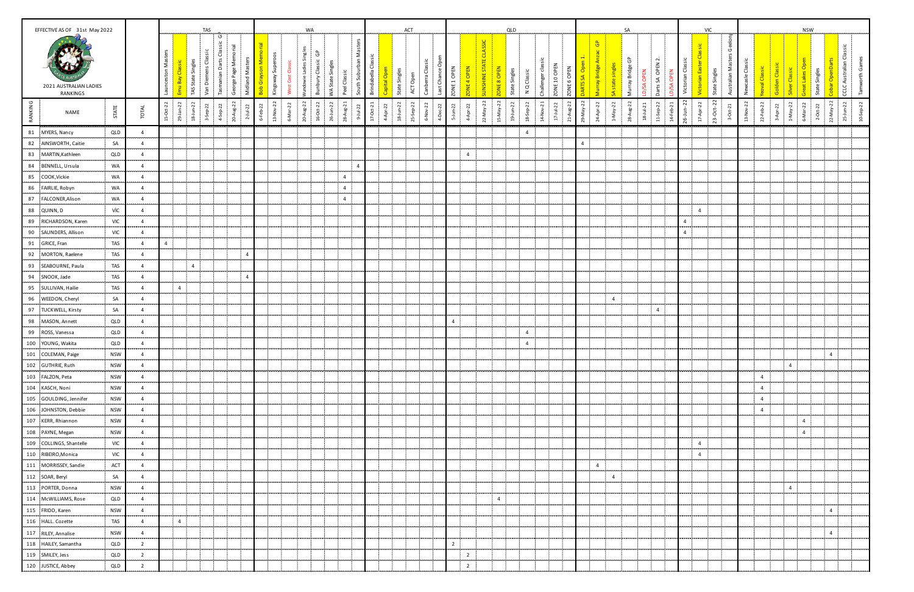|           | EFFECTIVE AS OF 31st May 2022                                | TAS             |                           |                        |                |                                   |                                        |                                             |                |              |                                                                                      |                    | WA                             |                      |                         |                                           |                    |              |                       | ACT      |                         |                                           |                |                   |                                   | QLD            |                             |                   |                 |                       |                |                            | SA                  |                                   |                           |                                   |                               | <b>VIC</b>                        |                 |                  |                |                                    | <b>NSW</b>     |           |                         |                                   |           |
|-----------|--------------------------------------------------------------|-----------------|---------------------------|------------------------|----------------|-----------------------------------|----------------------------------------|---------------------------------------------|----------------|--------------|--------------------------------------------------------------------------------------|--------------------|--------------------------------|----------------------|-------------------------|-------------------------------------------|--------------------|--------------|-----------------------|----------|-------------------------|-------------------------------------------|----------------|-------------------|-----------------------------------|----------------|-----------------------------|-------------------|-----------------|-----------------------|----------------|----------------------------|---------------------|-----------------------------------|---------------------------|-----------------------------------|-------------------------------|-----------------------------------|-----------------|------------------|----------------|------------------------------------|----------------|-----------|-------------------------|-----------------------------------|-----------|
|           | 2021 AUSTRALIAN LADIES<br><b>RANKINGS</b>                    |                 |                           | Mas<br>ceston          | TAS Stat       | nens Classic<br>e Sin<br>Van Dien | ပ<br>ō<br>arts<br>$\circ$<br>Tasmanian | $\overline{\mathfrak{G}}$<br>George Page Me | Midland Master | Gray<br>Bob  | ys <mark>on Mem</mark> eroos<br>International<br>y Superoos<br>Kingsway <sup>9</sup> | පී<br>Cost<br>West | $\overline{v}$<br>ndowie Ladie | Ĝ<br>Bunbury Classic | <b>NA State Singles</b> | Masters<br>South Suburban<br>Peel Classic | Brindabela Classic | ital Op      | State Singles         | ACT Op   | Canberra Clas           | ZONE <sub>1</sub> OPEN<br>ප<br>Last Chano |                | <b>CONE4 OPEN</b> | <b>SSIC</b><br><b>UNSHINE STA</b> | ONE 8 OPEN     | N Q Classic                 | das<br>Challenger | ZONE 10 OPEN    | ZONE 6 OPEN           |                | $\mathbf{G}^\mathbf{p}$    | င်<br>Murray Bridge | <b>JSA OPEN</b><br>$\overline{a}$ | Darts SA OPEN 2<br>る<br>å | Classic<br>ttorian<br>$\breve{z}$ |                               | Victorian Easter<br>State Singles | Σ<br>등<br>Austr | Newcasle Classic | al Classic     | Classic<br>$\overline{\mathbf{o}}$ |                | State Sin |                         | Classic<br><b>CCLC Australian</b> | orth      |
| RANKING   | NAME                                                         | STATE           | TOTAL                     | $Oct-22$<br>ු නි<br>۵Ľ | $18 - 1$ un-22 | $3-5ep-22$                        | Sep-22                                 | 20-Aug-22                                   | $2 - 1 - 22$   | $6 - Feb-22$ | $\overline{2}$<br>13-Nov                                                             | 6-Mar-22           | 20-Aug-22                      | $16 - Oct - 22$      | 26-Jun-22<br>28-Aug-21  | $Jul-22$<br>്                             | $17 - 0ct - 21$    | 22<br>4-Apr- | $18 - J \cdot m - 22$ | $Sep-22$ | $\overline{5}$<br>6-Nov | $4-Dec-22$                                | $5 - J$ un-22  | 4-Apr-22          | 22-May-22                         | 15-May-22      | $19 - 1$ un-22<br>18-Sep-22 | 14-Nov-21         | $17 - J u - 22$ | $48 - 22$<br>$21 - A$ | 29-May-22      | $24$ Apr-22<br>$1$ -May-22 |                     | $28Aug-22$<br>$18-1ul-21$         | 11-Sep-22                 | $26 - Jun - 22$<br>$14 + eb-21$   | $17$ Apr-22                   | $23-Oct-22$                       | $3-0$ ct- $21$  | 13-Nov-22        | $22 + eb - 22$ | $1-Ma\gamma-22$<br>$3-Apr-22$      | 6-Mar-22       |           | $2-0$ d-22<br>22-May-22 | $25 - J$ un-22                    | 10-Sep-22 |
|           | 81 MYERS, Nancy                                              | QLD             | $\overline{4}$            |                        | ÷              |                                   |                                        |                                             |                |              |                                                                                      |                    |                                |                      |                         |                                           |                    |              |                       |          |                         |                                           |                |                   |                                   |                |                             | $4 -$             |                 |                       |                |                            |                     |                                   |                           |                                   |                               |                                   |                 |                  |                |                                    |                |           |                         |                                   |           |
|           | 82 AINSWORTH, Caitie                                         | SA              | $\overline{4}$            |                        | ÷              |                                   |                                        |                                             |                |              |                                                                                      |                    |                                |                      |                         |                                           |                    |              |                       |          |                         |                                           |                |                   |                                   |                |                             |                   |                 |                       | $\overline{4}$ |                            |                     |                                   |                           |                                   |                               |                                   |                 |                  |                |                                    |                |           |                         |                                   |           |
|           | 83 MARTIN, Kathleen                                          | QLD             | $\overline{4}$            |                        | ÷              |                                   |                                        |                                             |                |              |                                                                                      |                    |                                |                      |                         |                                           |                    |              |                       |          |                         |                                           |                | $\overline{4}$    |                                   |                |                             |                   |                 |                       |                |                            |                     |                                   |                           |                                   |                               |                                   |                 |                  |                |                                    |                |           |                         |                                   |           |
|           | 84 BENNELL, Ursula                                           | WA              | $\overline{4}$            |                        |                |                                   |                                        |                                             |                |              |                                                                                      |                    |                                |                      |                         | $\overline{4}$                            |                    |              |                       |          |                         |                                           |                |                   |                                   |                |                             |                   |                 |                       |                |                            |                     |                                   |                           |                                   |                               |                                   |                 |                  |                |                                    |                |           |                         |                                   |           |
|           | -------------------------<br>85 COOK, Vickie                 | WA              | $\overline{4}$            |                        | ÷              |                                   |                                        |                                             |                |              |                                                                                      |                    |                                |                      | $\overline{4}$          |                                           |                    |              |                       |          |                         |                                           |                |                   |                                   |                |                             |                   |                 |                       |                |                            |                     |                                   |                           |                                   |                               |                                   |                 |                  |                |                                    |                |           |                         |                                   |           |
|           | 86 FAIRLIE, Robyn                                            | WA              | $\overline{4}$            |                        |                |                                   |                                        |                                             |                |              |                                                                                      |                    |                                |                      |                         | $\overline{4}$                            |                    |              |                       |          |                         |                                           |                |                   |                                   |                |                             |                   |                 |                       |                |                            |                     |                                   |                           |                                   |                               |                                   |                 |                  |                |                                    |                |           |                         |                                   |           |
|           | 87 FALCONER, Alison                                          | WA              | $\overline{4}$            |                        | ÷              |                                   |                                        |                                             |                |              |                                                                                      |                    |                                |                      |                         | $\overline{4}$                            |                    |              |                       |          |                         |                                           |                |                   |                                   |                |                             |                   |                 |                       |                |                            |                     |                                   |                           |                                   |                               |                                   |                 |                  |                |                                    |                |           |                         |                                   |           |
|           | 88 QUINN, D                                                  | vìc             | $\overline{4}$            | л,                     | -9             |                                   |                                        |                                             |                |              |                                                                                      |                    |                                |                      |                         |                                           |                    |              |                       |          |                         |                                           |                |                   |                                   |                |                             |                   |                 |                       |                |                            |                     |                                   |                           |                                   | $\overline{4}$                | - 11                              |                 |                  |                |                                    |                |           |                         |                                   |           |
|           | <br>89 RICHARDSON, Karen                                     | <br>VIC         | ,,,,,,,<br>$\overline{4}$ |                        |                |                                   |                                        |                                             |                |              |                                                                                      |                    |                                |                      |                         |                                           |                    |              |                       |          |                         |                                           |                |                   |                                   |                |                             |                   |                 |                       |                |                            |                     |                                   |                           |                                   | $\overline{4}$                |                                   |                 |                  |                |                                    |                |           |                         |                                   |           |
| .         | 90 SAUNDERS, Allison                                         | VIC             | $\overline{4}$            |                        |                |                                   |                                        |                                             |                |              |                                                                                      |                    |                                |                      |                         |                                           |                    |              |                       |          |                         |                                           |                |                   |                                   |                |                             |                   |                 |                       |                |                            |                     |                                   |                           |                                   | $\sim$ 0.00<br>$\overline{4}$ |                                   |                 |                  |                |                                    |                |           |                         |                                   |           |
|           | 91 GRICE, Fran                                               | TAS             | $\overline{4}$            | 4 <sup>1</sup>         | - 2            |                                   |                                        |                                             |                |              |                                                                                      |                    |                                |                      |                         |                                           |                    |              |                       |          |                         |                                           |                |                   |                                   |                |                             |                   |                 |                       |                |                            |                     |                                   |                           |                                   |                               |                                   |                 |                  |                |                                    |                |           | ÷                       |                                   |           |
|           | 92 MORTON, Raelene                                           | TAS             | $\overline{4}$            |                        |                |                                   |                                        |                                             | $\overline{4}$ |              |                                                                                      |                    |                                |                      |                         |                                           |                    |              |                       |          |                         |                                           |                |                   |                                   |                |                             |                   |                 |                       |                |                            |                     |                                   |                           |                                   |                               |                                   |                 |                  |                |                                    |                |           |                         |                                   |           |
|           | 93 SEABOURNE, Paula                                          | TAS             | $\overline{4}$            |                        | $\overline{4}$ |                                   |                                        |                                             |                |              |                                                                                      |                    |                                |                      |                         |                                           |                    |              |                       |          |                         |                                           |                |                   |                                   |                |                             |                   |                 |                       |                |                            |                     |                                   |                           |                                   |                               |                                   |                 |                  |                |                                    |                |           | л.                      |                                   |           |
|           | 94 SNOOK, Jade                                               | TAS             | $\overline{4}$            |                        |                |                                   |                                        |                                             | $\overline{a}$ |              |                                                                                      |                    |                                |                      |                         |                                           |                    |              |                       |          |                         |                                           |                |                   |                                   |                |                             |                   |                 |                       |                |                            |                     |                                   |                           |                                   |                               |                                   |                 |                  |                |                                    |                |           |                         |                                   |           |
|           | 95 SULLIVAN, Hailie                                          | TAS             | $\overline{4}$            |                        | $-4$           |                                   |                                        |                                             |                |              |                                                                                      |                    |                                |                      |                         |                                           |                    |              |                       |          |                         |                                           |                |                   |                                   |                |                             |                   |                 |                       |                |                            |                     |                                   |                           |                                   |                               |                                   |                 |                  |                |                                    |                |           |                         |                                   |           |
|           | 96 WEEDON, Cheryl                                            | SA              | $\overline{4}$            |                        | - 1            |                                   |                                        |                                             |                |              |                                                                                      |                    |                                |                      |                         |                                           |                    |              |                       |          |                         |                                           |                |                   |                                   |                |                             |                   |                 |                       |                | -11<br>$\overline{4}$      |                     |                                   |                           |                                   |                               |                                   |                 |                  |                |                                    |                |           |                         |                                   |           |
|           | 97 TUCKWELL, Kirsty                                          | SA              | 4                         |                        |                |                                   |                                        |                                             |                |              |                                                                                      |                    |                                |                      |                         |                                           |                    |              |                       |          |                         |                                           |                |                   |                                   |                |                             |                   |                 |                       |                |                            |                     |                                   | $\overline{4}$            |                                   |                               |                                   |                 |                  |                |                                    |                |           |                         |                                   |           |
|           | 98 MASON, Annett                                             | QLD             | $\overline{4}$            |                        |                |                                   |                                        |                                             |                |              |                                                                                      |                    |                                |                      |                         |                                           |                    |              |                       |          |                         |                                           | 4              |                   |                                   |                |                             |                   |                 |                       |                |                            |                     |                                   |                           |                                   |                               |                                   |                 |                  |                |                                    |                |           |                         |                                   |           |
|           | 99 ROSS, Vanessa                                             | QLD<br>         | $\overline{4}$<br>.       |                        |                |                                   |                                        |                                             |                |              |                                                                                      |                    |                                |                      |                         |                                           |                    |              |                       |          |                         |                                           |                |                   |                                   |                | $\overline{4}$<br>.         |                   |                 |                       |                |                            |                     |                                   |                           |                                   |                               |                                   |                 |                  |                |                                    |                |           |                         |                                   |           |
|           | 100 YOUNG, Wakita                                            | QLD             | $\overline{4}$            |                        |                |                                   |                                        |                                             |                |              |                                                                                      |                    |                                |                      |                         |                                           |                    |              |                       |          |                         |                                           |                |                   |                                   |                | $\overline{4}$              |                   |                 |                       |                |                            |                     |                                   |                           |                                   |                               |                                   |                 |                  |                |                                    |                |           |                         |                                   |           |
|           | 101 COLEMAN, Paige                                           | <b>NSW</b>      | 4                         |                        |                |                                   |                                        |                                             |                |              |                                                                                      |                    |                                |                      |                         |                                           |                    |              |                       |          |                         |                                           |                |                   |                                   |                |                             |                   |                 |                       |                |                            |                     |                                   |                           |                                   |                               |                                   |                 |                  |                |                                    |                |           | $\overline{4}$          |                                   |           |
|           | 102 GUTHRIE, Ruth                                            | <b>NSW</b>      | 4                         |                        | ÷.             |                                   |                                        |                                             |                |              |                                                                                      |                    |                                |                      |                         |                                           |                    |              |                       |          |                         |                                           |                |                   |                                   |                |                             |                   |                 |                       |                |                            |                     |                                   |                           |                                   |                               |                                   |                 |                  |                | $\overline{4}$                     |                |           |                         |                                   |           |
|           | 103 FALZON, Peta                                             | <b>NSW</b>      | $\overline{4}$            |                        |                |                                   |                                        |                                             |                |              |                                                                                      |                    |                                |                      |                         |                                           |                    |              |                       |          |                         |                                           |                |                   |                                   |                |                             |                   |                 |                       |                |                            |                     |                                   |                           |                                   |                               |                                   |                 |                  | $\overline{4}$ |                                    |                |           |                         |                                   |           |
| .         | 104 KASCH, Noni                                              | <b>NSW</b>      | $\overline{4}$            |                        |                |                                   |                                        |                                             |                |              |                                                                                      |                    |                                |                      |                         |                                           |                    |              |                       |          |                         |                                           |                |                   |                                   |                |                             |                   |                 |                       |                |                            |                     |                                   |                           |                                   |                               |                                   |                 |                  | $\overline{4}$ |                                    |                |           |                         |                                   |           |
|           | 105 GOULDING, Jennifer                                       | <b>NSW</b>      | $\overline{4}$            |                        |                |                                   |                                        |                                             |                |              |                                                                                      |                    |                                |                      |                         |                                           |                    |              |                       |          |                         |                                           |                |                   |                                   |                |                             |                   |                 |                       |                |                            |                     |                                   |                           |                                   |                               |                                   |                 |                  | $\overline{4}$ |                                    |                |           |                         |                                   |           |
|           | 106 JOHNSTON, Debbie                                         | <b>NSW</b>      | $\overline{4}$            |                        | Ī              |                                   |                                        |                                             |                |              |                                                                                      |                    |                                |                      |                         |                                           |                    |              |                       |          |                         |                                           |                |                   |                                   |                |                             |                   |                 |                       |                |                            |                     |                                   |                           |                                   |                               |                                   |                 |                  | $\overline{4}$ |                                    |                |           |                         |                                   |           |
|           | 107 KERR, Rhiannon                                           | <b>NSW</b>      | $\overline{4}$            |                        |                |                                   |                                        |                                             |                |              |                                                                                      |                    |                                |                      |                         |                                           |                    |              |                       |          |                         |                                           |                |                   |                                   |                |                             |                   |                 |                       |                |                            |                     |                                   |                           |                                   |                               |                                   |                 |                  |                |                                    | $\Lambda$      |           |                         |                                   |           |
|           | 108 PAYNE, Megan                                             | <b>NSW</b><br>. | $\overline{4}$<br>.       |                        | -1             |                                   |                                        |                                             |                |              |                                                                                      |                    |                                |                      |                         |                                           |                    |              |                       |          |                         |                                           |                |                   |                                   |                |                             |                   |                 |                       |                |                            |                     |                                   |                           |                                   |                               |                                   |                 |                  |                |                                    | $\overline{4}$ |           |                         |                                   |           |
|           | $\begin{bmatrix} .109 \end{bmatrix}$ COLLINGS, Shantelle VIC | <b>VIC</b>      | $\overline{4}$            |                        | - 8            |                                   |                                        |                                             |                |              |                                                                                      |                    |                                |                      |                         |                                           |                    |              |                       |          |                         |                                           |                |                   |                                   |                |                             |                   |                 |                       |                |                            |                     |                                   |                           |                                   | $\overline{4}$                |                                   |                 |                  |                |                                    |                |           |                         |                                   |           |
|           | 110 RIBEIRO, Monica                                          | VIC             | $\overline{4}$            |                        | п.             |                                   |                                        |                                             |                |              |                                                                                      |                    |                                |                      |                         |                                           |                    |              |                       |          |                         |                                           |                |                   |                                   |                |                             |                   |                 |                       |                |                            |                     |                                   |                           |                                   | $\overline{4}$                |                                   |                 |                  |                |                                    |                |           |                         |                                   |           |
| an manang | 111 MORRISSEY, Sandie                                        | ACT             | 4                         | -8                     | - 11           |                                   |                                        |                                             |                |              |                                                                                      |                    |                                |                      |                         |                                           |                    |              |                       |          |                         |                                           |                |                   |                                   |                |                             |                   |                 |                       |                | $4 -$                      |                     |                                   |                           |                                   |                               |                                   |                 |                  |                |                                    |                |           | ÷                       |                                   |           |
|           | 112 SOAR, Beryl<br>}                                         | SA              | $\overline{4}$            |                        | - 11           |                                   |                                        |                                             |                |              |                                                                                      |                    |                                |                      |                         |                                           |                    |              |                       |          |                         |                                           |                |                   |                                   |                |                             |                   |                 |                       |                | -11<br>$\overline{4}$      |                     |                                   |                           |                                   |                               |                                   |                 |                  |                |                                    |                |           | ÷.<br>                  |                                   |           |
| محمد      | 113 PORTER, Donna                                            | <b>NSW</b>      | $\overline{4}$            |                        | n.             |                                   |                                        |                                             |                |              |                                                                                      |                    |                                |                      |                         |                                           |                    |              |                       |          |                         |                                           |                |                   |                                   |                |                             |                   |                 |                       |                |                            |                     |                                   |                           |                                   |                               |                                   |                 |                  |                | $\overline{4}$                     |                |           | ÷.                      |                                   |           |
|           | 114 McWILLIAMS, Rose                                         | QLD             | $\overline{4}$            |                        | - 1            |                                   |                                        |                                             |                |              |                                                                                      |                    |                                |                      |                         |                                           |                    |              |                       |          |                         |                                           |                |                   |                                   | $\overline{4}$ |                             |                   |                 |                       |                |                            |                     |                                   |                           |                                   |                               |                                   |                 |                  |                |                                    |                |           | .                       |                                   |           |
|           | 115 FRIDD, Karen                                             | <b>NSW</b>      | $\overline{4}$            | ÷                      | - 11           |                                   |                                        |                                             |                |              |                                                                                      |                    |                                |                      |                         |                                           |                    |              |                       |          |                         |                                           |                |                   |                                   |                |                             |                   |                 |                       |                |                            |                     |                                   |                           |                                   |                               |                                   |                 |                  |                |                                    |                |           | $-4$                    |                                   |           |
|           | 116 HALL. Cozette                                            | TAS             | $\overline{4}$            |                        | $-4$           |                                   |                                        |                                             |                |              |                                                                                      |                    |                                |                      |                         |                                           |                    |              |                       |          |                         |                                           |                |                   |                                   |                |                             |                   |                 |                       |                |                            |                     |                                   |                           |                                   |                               |                                   |                 |                  |                |                                    |                |           | ÷.                      |                                   |           |
|           | 117 RILEY, Annalise<br>                                      | <b>NSW</b><br>  | $\overline{4}$<br>        |                        | - 11           |                                   |                                        |                                             |                |              |                                                                                      |                    |                                |                      |                         |                                           |                    |              |                       |          |                         |                                           |                |                   |                                   |                |                             |                   |                 |                       |                |                            |                     |                                   |                           |                                   |                               |                                   |                 |                  |                |                                    |                |           | $-4$<br>.               |                                   |           |
|           | 118 HAILEY, Samantha                                         | QLD             | $\overline{2}$            |                        | - 1            |                                   |                                        |                                             |                |              |                                                                                      |                    |                                |                      |                         |                                           |                    |              |                       |          |                         |                                           | $\overline{2}$ |                   |                                   |                |                             |                   |                 |                       |                |                            |                     |                                   |                           |                                   |                               |                                   |                 |                  |                |                                    |                |           |                         |                                   |           |
|           | 119 SMILEY, Jess                                             | QLD             | $\overline{2}$            | ÷                      | - 11           |                                   |                                        |                                             |                |              |                                                                                      |                    |                                |                      |                         |                                           |                    |              |                       |          |                         |                                           |                | $\overline{2}$    |                                   |                | J.                          |                   |                 |                       |                |                            |                     |                                   |                           |                                   |                               |                                   |                 |                  |                |                                    |                | ÷         |                         |                                   |           |
|           | 120 JUSTICE, Abbey                                           | QLD             | $\overline{2}$            |                        | - 1            |                                   |                                        |                                             |                |              |                                                                                      |                    |                                |                      |                         |                                           |                    |              |                       |          |                         |                                           |                | $\overline{2}$    |                                   |                |                             |                   |                 |                       |                |                            |                     |                                   |                           |                                   |                               |                                   |                 |                  |                |                                    |                |           |                         |                                   |           |